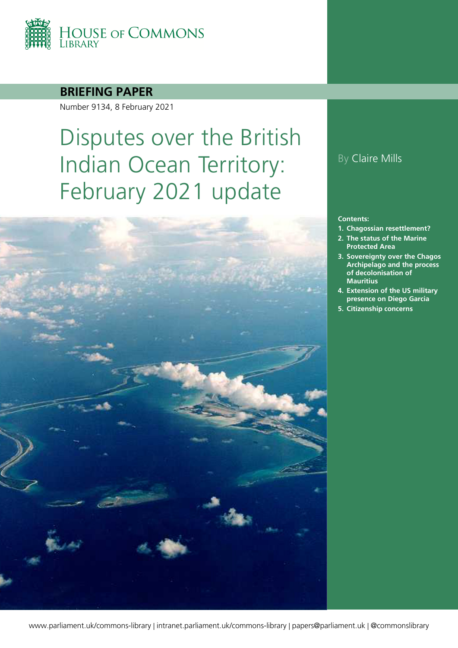

### **BRIEFING PAPER**

Number 9134, 8 February 2021

# Disputes over the British Indian Ocean Territory: February 2021 update



#### **Contents:**

- **1. [Chagossian resettlement?](#page-5-0)**
- **2. [The status of the Marine](#page-11-0)  [Protected Area](#page-11-0)**
- **3. [Sovereignty over the Chagos](#page-14-0)  [Archipelago and the process](#page-14-0)  [of decolonisation of](#page-14-0)  [Mauritius](#page-14-0)**
- **4. [Extension of the US military](#page-27-0)  [presence on Diego Garcia](#page-27-0)**
- **5. [Citizenship concerns](#page-30-0)**

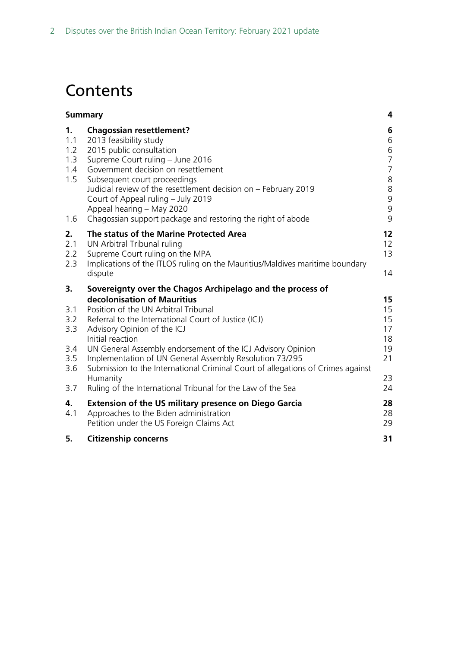# **Contents**

| <b>Summary</b>                                      |                                                                                                                                                                                                                                                                                                                                                                                                                                                                                                                                      | 4                                                                                                                 |
|-----------------------------------------------------|--------------------------------------------------------------------------------------------------------------------------------------------------------------------------------------------------------------------------------------------------------------------------------------------------------------------------------------------------------------------------------------------------------------------------------------------------------------------------------------------------------------------------------------|-------------------------------------------------------------------------------------------------------------------|
| 1.<br>1.1<br>1.2<br>1.3<br>1.4<br>1.5<br>1.6        | <b>Chagossian resettlement?</b><br>2013 feasibility study<br>2015 public consultation<br>Supreme Court ruling - June 2016<br>Government decision on resettlement<br>Subsequent court proceedings<br>Judicial review of the resettlement decision on - February 2019<br>Court of Appeal ruling - July 2019<br>Appeal hearing - May 2020<br>Chagossian support package and restoring the right of abode                                                                                                                                | 6<br>6<br>6<br>$\overline{7}$<br>$\overline{7}$<br>$\begin{array}{c} 8 \\ 8 \end{array}$<br>9<br>$\mathsf 9$<br>9 |
| 2.<br>2.1<br>2.2<br>2.3                             | The status of the Marine Protected Area<br>UN Arbitral Tribunal ruling<br>Supreme Court ruling on the MPA<br>Implications of the ITLOS ruling on the Mauritius/Maldives maritime boundary<br>dispute                                                                                                                                                                                                                                                                                                                                 | 12<br>12<br>13<br>14                                                                                              |
| 3.<br>3.1<br>3.2<br>3.3<br>3.4<br>3.5<br>3.6<br>3.7 | Sovereignty over the Chagos Archipelago and the process of<br>decolonisation of Mauritius<br>Position of the UN Arbitral Tribunal<br>Referral to the International Court of Justice (ICJ)<br>Advisory Opinion of the ICJ<br>Initial reaction<br>UN General Assembly endorsement of the ICJ Advisory Opinion<br>Implementation of UN General Assembly Resolution 73/295<br>Submission to the International Criminal Court of allegations of Crimes against<br>Humanity<br>Ruling of the International Tribunal for the Law of the Sea | 15<br>15<br>15<br>17<br>18<br>19<br>21<br>23<br>24                                                                |
| 4.<br>4.1<br>5.                                     | <b>Extension of the US military presence on Diego Garcia</b><br>Approaches to the Biden administration<br>Petition under the US Foreign Claims Act<br><b>Citizenship concerns</b>                                                                                                                                                                                                                                                                                                                                                    | 28<br>28<br>29<br>31                                                                                              |
|                                                     |                                                                                                                                                                                                                                                                                                                                                                                                                                                                                                                                      |                                                                                                                   |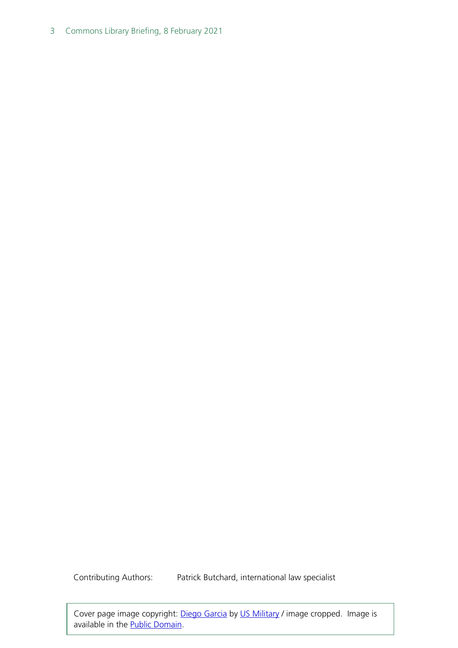3 Commons Library Briefing, 8 February 2021

Contributing Authors: Patrick Butchard, international law specialist

Cover page image copyright: [Diego Garcia](https://commons.wikimedia.org/wiki/File:Diegogarcia.jpg) by [US Military](https://commons.wikimedia.org/w/index.php?curid=564258) / image cropped. Image is available in the [Public Domain.](https://en.wikipedia.org/wiki/Public_domain)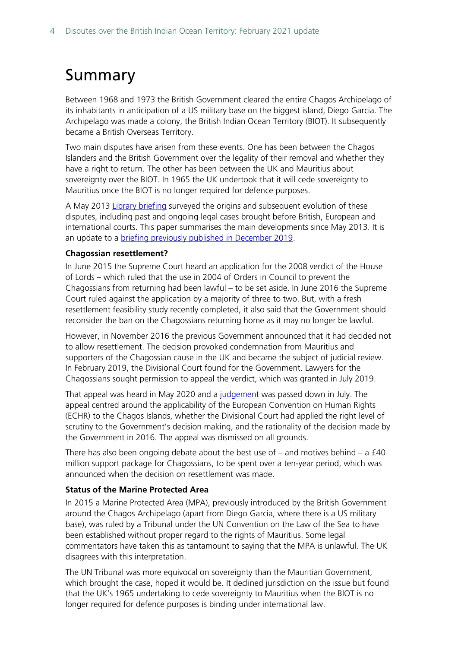# <span id="page-3-0"></span>Summary

Between 1968 and 1973 the British Government cleared the entire Chagos Archipelago of its inhabitants in anticipation of a US military base on the biggest island, Diego Garcia. The Archipelago was made a colony, the British Indian Ocean Territory (BIOT). It subsequently became a British Overseas Territory.

Two main disputes have arisen from these events. One has been between the Chagos Islanders and the British Government over the legality of their removal and whether they have a right to return. The other has been between the UK and Mauritius about sovereignty over the BIOT. In 1965 the UK undertook that it will cede sovereignty to Mauritius once the BIOT is no longer required for defence purposes.

A May 2013 [Library briefing](http://www.parliament.uk/briefing-papers/RP13-31/disputes-over-the-british-indian-ocean-territory-a-survey) surveyed the origins and subsequent evolution of these disputes, including past and ongoing legal cases brought before British, European and international courts. This paper summarises the main developments since May 2013. It is an update to a **briefing previously published in December 2019**.

#### **Chagossian resettlement?**

In June 2015 the Supreme Court heard an application for the 2008 verdict of the House of Lords – which ruled that the use in 2004 of Orders in Council to prevent the Chagossians from returning had been lawful – to be set aside. In June 2016 the Supreme Court ruled against the application by a majority of three to two. But, with a fresh resettlement feasibility study recently completed, it also said that the Government should reconsider the ban on the Chagossians returning home as it may no longer be lawful.

However, in November 2016 the previous Government announced that it had decided not to allow resettlement. The decision provoked condemnation from Mauritius and supporters of the Chagossian cause in the UK and became the subject of judicial review. In February 2019, the Divisional Court found for the Government. Lawyers for the Chagossians sought permission to appeal the verdict, which was granted in July 2019.

That appeal was heard in May 2020 and a [judgement](https://www.judiciary.uk/wp-content/uploads/2020/07/Final-Judgment-R-on-app-of-Hoareau-Anr-v-SS-Foreign-Commonwealth-Affairs-30.07.2020-002-2.pdf) was passed down in July. The appeal centred around the applicability of the European Convention on Human Rights (ECHR) to the Chagos Islands, whether the Divisional Court had applied the right level of scrutiny to the Government's decision making, and the rationality of the decision made by the Government in 2016. The appeal was dismissed on all grounds.

There has also been ongoing debate about the best use of  $-$  and motives behind  $-$  a  $f$ 40 million support package for Chagossians, to be spent over a ten-year period, which was announced when the decision on resettlement was made.

#### **Status of the Marine Protected Area**

In 2015 a Marine Protected Area (MPA), previously introduced by the British Government around the Chagos Archipelago (apart from Diego Garcia, where there is a US military base), was ruled by a Tribunal under the UN Convention on the Law of the Sea to have been established without proper regard to the rights of Mauritius. Some legal commentators have taken this as tantamount to saying that the MPA is unlawful. The UK disagrees with this interpretation.

The UN Tribunal was more equivocal on sovereignty than the Mauritian Government, which brought the case, hoped it would be. It declined jurisdiction on the issue but found that the UK's 1965 undertaking to cede sovereignty to Mauritius when the BIOT is no longer required for defence purposes is binding under international law.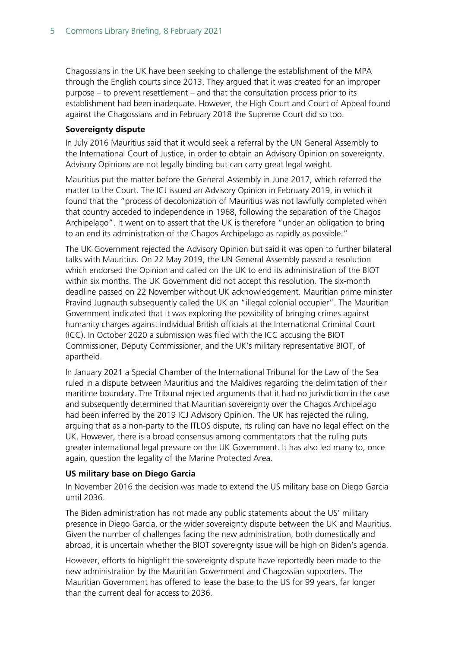Chagossians in the UK have been seeking to challenge the establishment of the MPA through the English courts since 2013. They argued that it was created for an improper purpose – to prevent resettlement – and that the consultation process prior to its establishment had been inadequate. However, the High Court and Court of Appeal found against the Chagossians and in February 2018 the Supreme Court did so too.

#### **Sovereignty dispute**

In July 2016 Mauritius said that it would seek a referral by the UN General Assembly to the International Court of Justice, in order to obtain an Advisory Opinion on sovereignty. Advisory Opinions are not legally binding but can carry great legal weight.

Mauritius put the matter before the General Assembly in June 2017, which referred the matter to the Court. The ICJ issued an Advisory Opinion in February 2019, in which it found that the "process of decolonization of Mauritius was not lawfully completed when that country acceded to independence in 1968, following the separation of the Chagos Archipelago". It went on to assert that the UK is therefore "under an obligation to bring to an end its administration of the Chagos Archipelago as rapidly as possible."

The UK Government rejected the Advisory Opinion but said it was open to further bilateral talks with Mauritius. On 22 May 2019, the UN General Assembly passed a resolution which endorsed the Opinion and called on the UK to end its administration of the BIOT within six months. The UK Government did not accept this resolution. The six-month deadline passed on 22 November without UK acknowledgement. Mauritian prime minister Pravind Jugnauth subsequently called the UK an "illegal colonial occupier". The Mauritian Government indicated that it was exploring the possibility of bringing crimes against humanity charges against individual British officials at the International Criminal Court (ICC). In October 2020 a submission was filed with the ICC accusing the BIOT Commissioner, Deputy Commissioner, and the UK's military representative BIOT, of apartheid.

In January 2021 a Special Chamber of the International Tribunal for the Law of the Sea ruled in a dispute between Mauritius and the Maldives regarding the delimitation of their maritime boundary. The Tribunal rejected arguments that it had no jurisdiction in the case and subsequently determined that Mauritian sovereignty over the Chagos Archipelago had been inferred by the 2019 ICJ Advisory Opinion. The UK has rejected the ruling, arguing that as a non-party to the ITLOS dispute, its ruling can have no legal effect on the UK. However, there is a broad consensus among commentators that the ruling puts greater international legal pressure on the UK Government. It has also led many to, once again, question the legality of the Marine Protected Area.

#### **US military base on Diego Garcia**

In November 2016 the decision was made to extend the US military base on Diego Garcia until 2036.

The Biden administration has not made any public statements about the US' military presence in Diego Garcia, or the wider sovereignty dispute between the UK and Mauritius. Given the number of challenges facing the new administration, both domestically and abroad, it is uncertain whether the BIOT sovereignty issue will be high on Biden's agenda.

However, efforts to highlight the sovereignty dispute have reportedly been made to the new administration by the Mauritian Government and Chagossian supporters. The Mauritian Government has offered to lease the base to the US for 99 years, far longer than the current deal for access to 2036.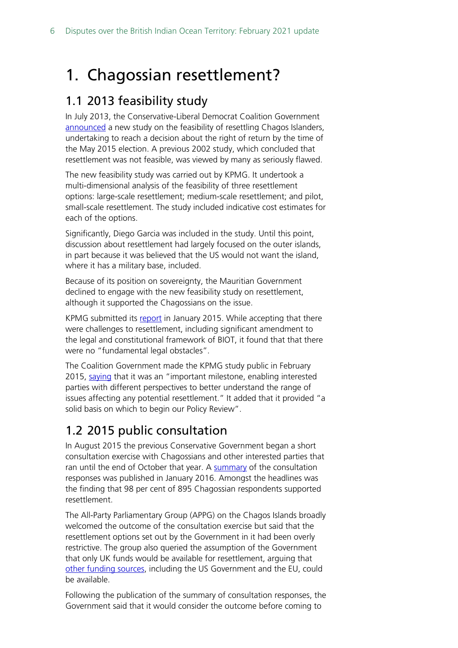# <span id="page-5-0"></span>1. Chagossian resettlement?

## <span id="page-5-1"></span>1.1 2013 feasibility study

In July 2013, the Conservative-Liberal Democrat Coalition Government [announced](https://www.gov.uk/government/speeches/british-indian-ocean-territory-policy-review) a new study on the feasibility of resettling Chagos Islanders, undertaking to reach a decision about the right of return by the time of the May 2015 election. A previous 2002 study, which concluded that resettlement was not feasible, was viewed by many as seriously flawed.

The new feasibility study was carried out by KPMG. It undertook a multi-dimensional analysis of the feasibility of three resettlement options: large-scale resettlement; medium-scale resettlement; and pilot, small-scale resettlement. The study included indicative cost estimates for each of the options.

Significantly, Diego Garcia was included in the study. Until this point, discussion about resettlement had largely focused on the outer islands, in part because it was believed that the US would not want the island, where it has a military base, included.

Because of its position on sovereignty, the Mauritian Government declined to engage with the new feasibility study on resettlement, although it supported the Chagossians on the issue.

KPMG submitted its [report](http://qna.files.parliament.uk/ws-attachments/178757/original/Feasibility%20study%20for%20the%20resettlement%20of%20the%20British%20Indian%20Ocean%20Territory%20Volume%201.pdf) in January 2015. While accepting that there were challenges to resettlement, including significant amendment to the legal and constitutional framework of BIOT, it found that that there were no "fundamental legal obstacles".

The Coalition Government made the KPMG study public in February 2015, [saying](http://www.parliament.uk/written-questions-answers-statements/written-statement/Commons/2015-02-10/HCWS272) that it was an "important milestone, enabling interested parties with different perspectives to better understand the range of issues affecting any potential resettlement." It added that it provided "a solid basis on which to begin our Policy Review".

# <span id="page-5-2"></span>1.2 2015 public consultation

In August 2015 the previous Conservative Government began a short consultation exercise with Chagossians and other interested parties that ran until the end of October that year. A [summary](https://www.gov.uk/government/uploads/system/uploads/attachment_data/file/493955/Summary_of_BIOT_Public_Consultation_Responses_FINAL.pdf) of the consultation responses was published in January 2016. Amongst the headlines was the finding that 98 per cent of 895 Chagossian respondents supported resettlement.

The All-Party Parliamentary Group (APPG) on the Chagos Islands broadly welcomed the outcome of the consultation exercise but said that the resettlement options set out by the Government in it had been overly restrictive. The group also queried the assumption of the Government that only UK funds would be available for resettlement, arguing that [other funding sources,](http://www.chagossupport.org.uk/#!Chagos-Islands-AllParty-Parliamentary-Group-Meeting-Coordinators-Summary/c1y03/5623992f0cf2c6c6437af0ef) including the US Government and the EU, could be available.

Following the publication of the summary of consultation responses, the Government said that it would consider the outcome before coming to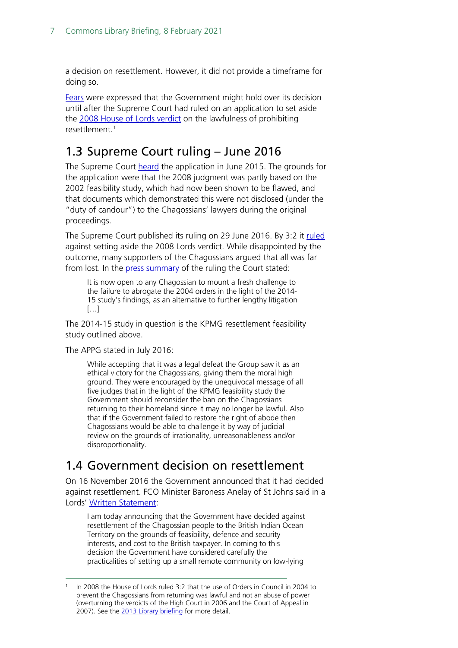a decision on resettlement. However, it did not provide a timeframe for doing so.

[Fears](http://www.parliament.uk/written-questions-answers-statements/written-question/commons/2016-03-10/30620) were expressed that the Government might hold over its decision until after the Supreme Court had ruled on an application to set aside the [2008 House of Lords verdict](https://publications.parliament.uk/pa/ld200708/ldjudgmt/jd081022/banc-1.htm) on the lawfulness of prohibiting resettlement.<sup>[1](#page-6-2)</sup>

## <span id="page-6-0"></span>1.3 Supreme Court ruling – June 2016

The Supreme Court [heard](https://www.supremecourt.uk/cases/uksc-2015-0021.html) the application in June 2015. The grounds for the application were that the 2008 judgment was partly based on the 2002 feasibility study, which had now been shown to be flawed, and that documents which demonstrated this were not disclosed (under the "duty of candour") to the Chagossians' lawyers during the original proceedings.

The Supreme Court published its ruling on 29 June 2016. By 3:2 it [ruled](https://www.supremecourt.uk/cases/docs/uksc-2015-0021-judgment.pdf) against setting aside the 2008 Lords verdict. While disappointed by the outcome, many supporters of the Chagossians argued that all was far from lost. In the [press summary](https://www.supremecourt.uk/cases/docs/uksc-2015-0021-press-summary.pdf) of the ruling the Court stated:

It is now open to any Chagossian to mount a fresh challenge to the failure to abrogate the 2004 orders in the light of the 2014- 15 study's findings, as an alternative to further lengthy litigation […]

The 2014-15 study in question is the KPMG resettlement feasibility study outlined above.

The APPG stated in July 2016:

While accepting that it was a legal defeat the Group saw it as an ethical victory for the Chagossians, giving them the moral high ground. They were encouraged by the unequivocal message of all five judges that in the light of the KPMG feasibility study the Government should reconsider the ban on the Chagossians returning to their homeland since it may no longer be lawful. Also that if the Government failed to restore the right of abode then Chagossians would be able to challenge it by way of judicial review on the grounds of irrationality, unreasonableness and/or disproportionality.

## <span id="page-6-1"></span>1.4 Government decision on resettlement

On 16 November 2016 the Government announced that it had decided against resettlement. FCO Minister Baroness Anelay of St Johns said in a Lords' [Written Statement:](http://www.parliament.uk/business/publications/written-questions-answers-statements/written-statement/Lords/2016-11-16/HLWS257/)

I am today announcing that the Government have decided against resettlement of the Chagossian people to the British Indian Ocean Territory on the grounds of feasibility, defence and security interests, and cost to the British taxpayer. In coming to this decision the Government have considered carefully the practicalities of setting up a small remote community on low-lying

<span id="page-6-2"></span>In 2008 the House of Lords ruled 3:2 that the use of Orders in Council in 2004 to prevent the Chagossians from returning was lawful and not an abuse of power (overturning the verdicts of the High Court in 2006 and the Court of Appeal in 2007). See the [2013 Library briefing](https://commonslibrary.parliament.uk/research-briefings/rp13-31/) for more detail.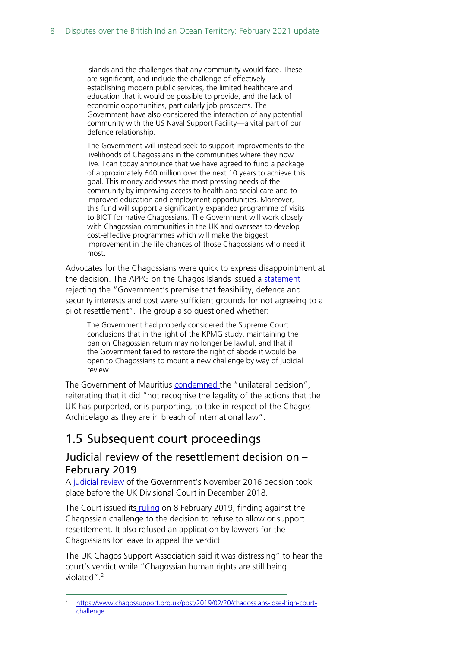islands and the challenges that any community would face. These are significant, and include the challenge of effectively establishing modern public services, the limited healthcare and education that it would be possible to provide, and the lack of economic opportunities, particularly job prospects. The Government have also considered the interaction of any potential community with the US Naval Support Facility—a vital part of our defence relationship.

The Government will instead seek to support improvements to the livelihoods of Chagossians in the communities where they now live. I can today announce that we have agreed to fund a package of approximately £40 million over the next 10 years to achieve this goal. This money addresses the most pressing needs of the community by improving access to health and social care and to improved education and employment opportunities. Moreover, this fund will support a significantly expanded programme of visits to BIOT for native Chagossians. The Government will work closely with Chagossian communities in the UK and overseas to develop cost-effective programmes which will make the biggest improvement in the life chances of those Chagossians who need it most.

Advocates for the Chagossians were quick to express disappointment at the decision. The APPG on the Chagos Islands issued a [statement](https://www.chagossupport.org.uk/single-post/2016/11/19/Chagos-Islands-All-Party-Group-Statement-on-failure-to-end-Chagossian-exile) rejecting the "Government's premise that feasibility, defence and security interests and cost were sufficient grounds for not agreeing to a pilot resettlement". The group also questioned whether:

The Government had properly considered the Supreme Court conclusions that in the light of the KPMG study, maintaining the ban on Chagossian return may no longer be lawful, and that if the Government failed to restore the right of abode it would be open to Chagossians to mount a new challenge by way of judicial review.

The Government of Mauritius [condemned t](http://primeminister.govmu.org/English/Documents/Communiqu%C3%A9/COMMUNIQUE.pdf)he "unilateral decision", reiterating that it did "not recognise the legality of the actions that the UK has purported, or is purporting, to take in respect of the Chagos Archipelago as they are in breach of international law".

### <span id="page-7-0"></span>1.5 Subsequent court proceedings

### <span id="page-7-1"></span>Judicial review of the resettlement decision on – February 2019

A [judicial review](https://www.leighday.co.uk/News/News-2018/December-2018/Chagos-Islanders-continue-legal-battle-for-their-h) of the Government's November 2016 decision took place before the UK Divisional Court in December 2018.

The Court issued its [ruling](https://www.judiciary.uk/wp-content/uploads/2019/02/judgment-hoareau-bancoult-v-ssfca-final-8-feb-19.pdf) on 8 February 2019, finding against the Chagossian challenge to the decision to refuse to allow or support resettlement. It also refused an application by lawyers for the Chagossians for leave to appeal the verdict.

The UK Chagos Support Association said it was distressing" to hear the court's verdict while "Chagossian human rights are still being violated". [2](#page-7-2)

<span id="page-7-2"></span><sup>2</sup> [https://www.chagossupport.org.uk/post/2019/02/20/chagossians-lose-high-court](https://www.chagossupport.org.uk/post/2019/02/20/chagossians-lose-high-court-challenge)[challenge](https://www.chagossupport.org.uk/post/2019/02/20/chagossians-lose-high-court-challenge)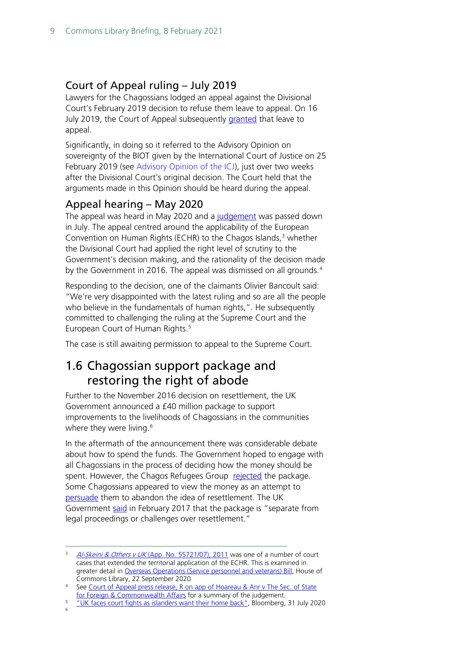### <span id="page-8-0"></span>Court of Appeal ruling – July 2019

Lawyers for the Chagossians lodged an appeal against the Divisional Court's February 2019 decision to refuse them leave to appeal. On 16 July 2019, the Court of Appeal subsequently [granted](https://www.chagossupport.org.uk/single-post/2019/07/28/Success-as-Chagossians%E2%80%99-Appeal-advances) that leave to appeal.

Significantly, in doing so it referred to the Advisory Opinion on sovereignty of the BIOT given by the International Court of Justice on 25 February 2019 (see [Advisory Opinion](#page-16-0) of the ICJ), just over two weeks after the Divisional Court's original decision. The Court held that the arguments made in this Opinion should be heard during the appeal.

### <span id="page-8-1"></span>Appeal hearing – May 2020

The appeal was heard in May 2020 and a [judgement](https://www.judiciary.uk/wp-content/uploads/2020/07/Final-Judgment-R-on-app-of-Hoareau-Anr-v-SS-Foreign-Commonwealth-Affairs-30.07.2020-002-2.pdf) was passed down in July. The appeal centred around the applicability of the European Convention on Human Rights (ECHR) to the Chagos Islands, $3$  whether the Divisional Court had applied the right level of scrutiny to the Government's decision making, and the rationality of the decision made by the Government in 2016. The appeal was dismissed on all grounds.<sup>[4](#page-8-4)</sup>

Responding to the decision, one of the claimants Olivier Bancoult said: "We're very disappointed with the latest ruling and so are all the people who believe in the fundamentals of human rights,". He subsequently committed to challenging the ruling at the Supreme Court and the European Court of Human Rights.<sup>[5](#page-8-5)</sup>

The case is still awaiting permission to appeal to the Supreme Court.

### <span id="page-8-2"></span>1.6 Chagossian support package and restoring the right of abode

Further to the November 2016 decision on resettlement, the UK Government announced a £40 million package to support improvements to the livelihoods of Chagossians in the communities where they were living.<sup>[6](#page-8-6)</sup>

In the aftermath of the announcement there was considerable debate about how to spend the funds. The Government hoped to engage with all Chagossians in the process of deciding how the money should be spent. However, the Chagos Refugees Group [rejected](http://www.chagossupport.org.uk/single-post/2017/02/16/Chagos-Refugee-Group-letter-to-British-High-Commissioner) the package. Some Chagossians appeared to view the money as an attempt to [persuade](https://www.lexpress.mu/article/304526/david-snoxell-ps40-million-promised-chagossians-may-turn-out-be-mirage) them to abandon the idea of resettlement. The UK Government [said](https://www.scribd.com/document/340079788/Le-communique-des-Britanniques-sur-les-40-millions-de-compensation-accordes-aux-Chagossiens#from_embed) in February 2017 that the package is "separate from legal proceedings or challenges over resettlement."

<span id="page-8-6"></span><span id="page-8-5"></span>

<span id="page-8-3"></span><sup>&</sup>lt;sup>3</sup> Al-Skeini & Others v UK [\(App. No. 55721/07\), 2011](http://hudoc.echr.coe.int/fre?i=001-105607#%7B%22display%22:%5B%220%22%5D,%22languageisocode%22:%5B%22ENG%22%5D,%22appno%22:%5B%2255721/07%22%5D,%22itemid%22:%5B%22001-105606%22%5D%7D) was one of a number of court cases that extended the territorial application of the ECHR. This is examined in greater detail in [Overseas Operations \(Service personnel and veterans\) Bill,](https://commonslibrary.parliament.uk/research-briefings/cbp-8983/) House of

<span id="page-8-4"></span>Commons Library, 22 September 2020<br>4 See Court of Appeal press release, R on app of Hoareau & Anr v The Sec. of State<br>5 for Foreign & Commonwealth Affairs for a summary of the judgement.

<sup>&</sup>lt;sup>5</sup> ["UK faces court fights as islanders want their home back",](https://www.bloomberg.com/news/articles/2020-07-31/u-k-faces-supreme-court-fight-as-islanders-want-their-home-back) Bloomberg, 31 July 2020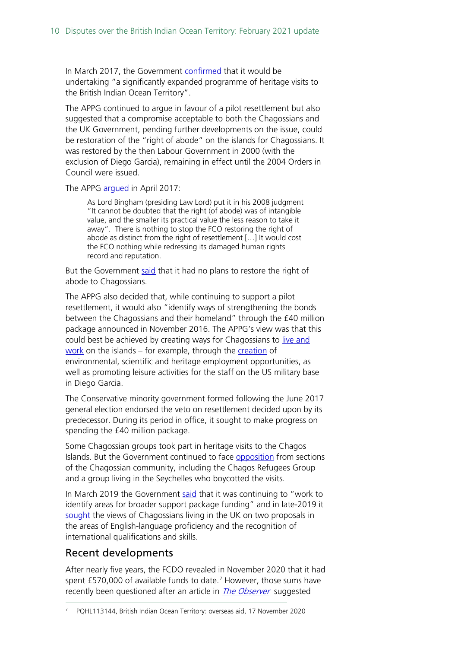In March 2017, the Government [confirmed](https://www.gov.uk/government/world-location-news/british-indian-ocean-territory-heritage-visit-for-chagossians) that it would be undertaking "a significantly expanded programme of heritage visits to the British Indian Ocean Territory".

The APPG continued to argue in favour of a pilot resettlement but also suggested that a compromise acceptable to both the Chagossians and the UK Government, pending further developments on the issue, could be restoration of the "right of abode" on the islands for Chagossians. It was restored by the then Labour Government in 2000 (with the exclusion of Diego Garcia), remaining in effect until the 2004 Orders in Council were issued.

The APPG [argued](http://media.wix.com/ugd/79f834_416afdb6cbad4ba6a8c1aa7ae2f079f0.docx?dn=Statement%20by%20the%20Chagos%20Islands%20APPG%2C%2026%20April%202017.docx) in April 2017:

As Lord Bingham (presiding Law Lord) put it in his 2008 judgment "It cannot be doubted that the right (of abode) was of intangible value, and the smaller its practical value the less reason to take it away". There is nothing to stop the FCO restoring the right of abode as distinct from the right of resettlement […] It would cost the FCO nothing while redressing its damaged human rights record and reputation.

But the Government [said](http://www.parliament.uk/business/publications/written-questions-answers-statements/written-question/Commons/2017-01-17/60248/) that it had no plans to restore the right of abode to Chagossians.

The APPG also decided that, while continuing to support a pilot resettlement, it would also "identify ways of strengthening the bonds between the Chagossians and their homeland" through the £40 million package announced in November 2016. The APPG's view was that this could best be achieved by creating ways for Chagossians to [live and](http://media.wix.com/ugd/79f834_416afdb6cbad4ba6a8c1aa7ae2f079f0.docx?dn=Statement%20by%20the%20Chagos%20Islands%20APPG%2C%2026%20April%202017.docx)  [work](http://media.wix.com/ugd/79f834_416afdb6cbad4ba6a8c1aa7ae2f079f0.docx?dn=Statement%20by%20the%20Chagos%20Islands%20APPG%2C%2026%20April%202017.docx) on the islands – for example, through the [creation](http://media.wix.com/ugd/79f834_2d6909c1338f4c949f38ce780c85b02f.pdf) of environmental, scientific and heritage employment opportunities, as well as promoting leisure activities for the staff on the US military base in Diego Garcia.

The Conservative minority government formed following the June 2017 general election endorsed the veto on resettlement decided upon by its predecessor. During its period in office, it sought to make progress on spending the £40 million package.

Some Chagossian groups took part in heritage visits to the Chagos Islands. But the Government continued to face [opposition](https://www.chagossupport.org.uk/single-post/2018/06/05/Chagossians-call-for-more-support-and-right-to-return-as-visits-go-ahead) from sections of the Chagossian community, including the Chagos Refugees Group and a group living in the Seychelles who boycotted the visits.

In March 2019 the Government [said](https://www.parliament.uk/business/publications/written-questions-answers-statements/written-question/Commons/2019-03-11/230807/) that it was continuing to "work to identify areas for broader support package funding" and in late-2019 it [sought](https://www.chagossupport.org.uk/single-post/2019/09/25/UK-Chagossians-asked-for-views-on-Support-Package) the views of Chagossians living in the UK on two proposals in the areas of English-language proficiency and the recognition of international qualifications and skills.

### Recent developments

After nearly five years, the FCDO revealed in November 2020 that it had spent £5[7](#page-9-0)0,000 of available funds to date.<sup>7</sup> However, those sums have recently been questioned after an article in *The Observer* suggested

<span id="page-9-0"></span><sup>7</sup> PQHL113144, British Indian Ocean Territory: overseas aid, 17 November 2020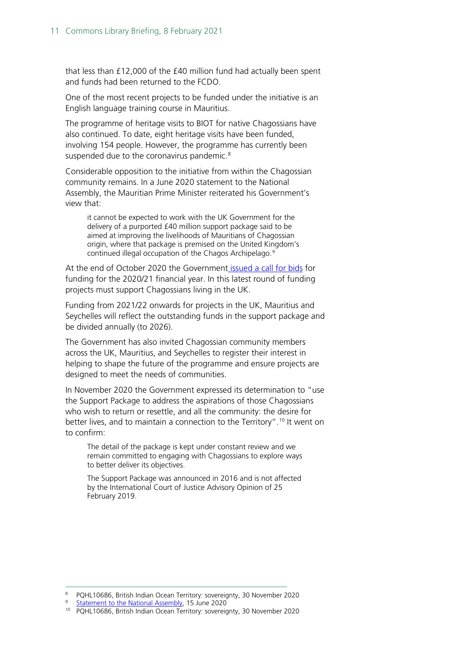that less than £12,000 of the £40 million fund had actually been spent and funds had been returned to the FCDO.

One of the most recent projects to be funded under the initiative is an English language training course in Mauritius.

The programme of heritage visits to BIOT for native Chagossians have also continued. To date, eight heritage visits have been funded, involving 154 people. However, the programme has currently been suspended due to the coronavirus pandemic.<sup>[8](#page-10-0)</sup>

Considerable opposition to the initiative from within the Chagossian community remains. In a June 2020 statement to the National Assembly, the Mauritian Prime Minister reiterated his Government's view that:

it cannot be expected to work with the UK Government for the delivery of a purported £40 million support package said to be aimed at improving the livelihoods of Mauritians of Chagossian origin, where that package is premised on the United Kingdom's continued illegal occupation of the Chagos Archipelago.[9](#page-10-1)

At the end of October 2020 the Government [issued a call for bids](https://www.gov.uk/government/publications/chagossian-support-package-2020-to-2021-call-for-bids) for funding for the 2020/21 financial year. In this latest round of funding projects must support Chagossians living in the UK.

Funding from 2021/22 onwards for projects in the UK, Mauritius and Seychelles will reflect the outstanding funds in the support package and be divided annually (to 2026).

The Government has also invited Chagossian community members across the UK, Mauritius, and Seychelles to register their interest in helping to shape the future of the programme and ensure projects are designed to meet the needs of communities.

In November 2020 the Government expressed its determination to "use the Support Package to address the aspirations of those Chagossians who wish to return or resettle, and all the community: the desire for better lives, and to maintain a connection to the Territory".<sup>[10](#page-10-2)</sup> It went on to confirm:

The detail of the package is kept under constant review and we remain committed to engaging with Chagossians to explore ways to better deliver its objectives.

The Support Package was announced in 2016 and is not affected by the International Court of Justice Advisory Opinion of 25 February 2019.

<span id="page-10-1"></span><span id="page-10-0"></span><sup>8</sup> PQHL10686, British Indian Ocean Territory: sovereignty, 30 November 2020<br>
9 [Statement to the National Assembly,](https://ensam.app/general_news/statement-by-hon-pravind-kumar-jugnauth-prime-minister/) 15 June 2020<br>
<sup>10</sup> PQHL10686, British Indian Ocean Territory: sovereignty, 30 November 2020

<span id="page-10-2"></span>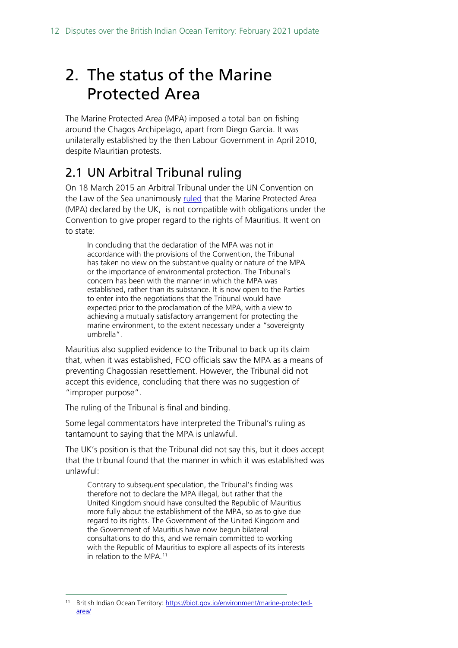# <span id="page-11-0"></span>2. The status of the Marine Protected Area

The Marine Protected Area (MPA) imposed a total ban on fishing around the Chagos Archipelago, apart from Diego Garcia. It was unilaterally established by the then Labour Government in April 2010, despite Mauritian protests.

# <span id="page-11-1"></span>2.1 UN Arbitral Tribunal ruling

On 18 March 2015 an Arbitral Tribunal under the UN Convention on the Law of the Sea unanimously [ruled](http://www.pcacases.com/pcadocs/MU-UK%2020150318%20Award.pdf) that the Marine Protected Area (MPA) declared by the UK, is not compatible with obligations under the Convention to give proper regard to the rights of Mauritius. It went on to state:

In concluding that the declaration of the MPA was not in accordance with the provisions of the Convention, the Tribunal has taken no view on the substantive quality or nature of the MPA or the importance of environmental protection. The Tribunal's concern has been with the manner in which the MPA was established, rather than its substance. It is now open to the Parties to enter into the negotiations that the Tribunal would have expected prior to the proclamation of the MPA, with a view to achieving a mutually satisfactory arrangement for protecting the marine environment, to the extent necessary under a "sovereignty umbrella".

Mauritius also supplied evidence to the Tribunal to back up its claim that, when it was established, FCO officials saw the MPA as a means of preventing Chagossian resettlement. However, the Tribunal did not accept this evidence, concluding that there was no suggestion of "improper purpose".

The ruling of the Tribunal is final and binding.

Some legal commentators have interpreted the Tribunal's ruling as tantamount to saying that the MPA is unlawful.

The UK's position is that the Tribunal did not say this, but it does accept that the tribunal found that the manner in which it was established was unlawful:

Contrary to subsequent speculation, the Tribunal's finding was therefore not to declare the MPA illegal, but rather that the United Kingdom should have consulted the Republic of Mauritius more fully about the establishment of the MPA, so as to give due regard to its rights. The Government of the United Kingdom and the Government of Mauritius have now begun bilateral consultations to do this, and we remain committed to working with the Republic of Mauritius to explore all aspects of its interests in relation to the MPA.<sup>[11](#page-11-2)</sup>

<span id="page-11-2"></span><sup>11</sup> British Indian Ocean Territory: [https://biot.gov.io/environment/marine-protected](https://biot.gov.io/environment/marine-protected-area/)[area/](https://biot.gov.io/environment/marine-protected-area/)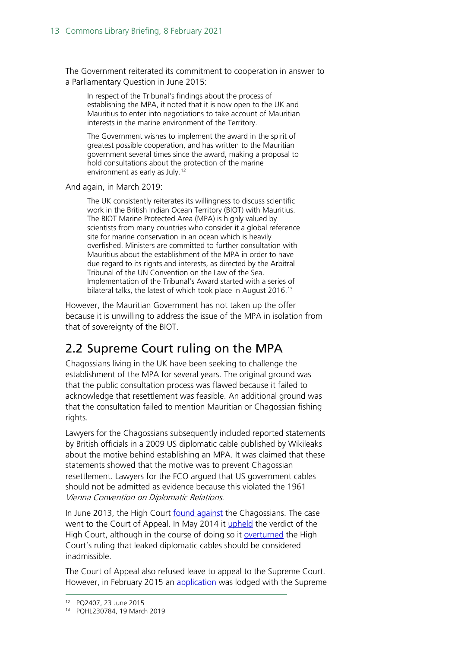The Government reiterated its commitment to cooperation in answer to a Parliamentary Question in June 2015:

In respect of the Tribunal's findings about the process of establishing the MPA, it noted that it is now open to the UK and Mauritius to enter into negotiations to take account of Mauritian interests in the marine environment of the Territory.

The Government wishes to implement the award in the spirit of greatest possible cooperation, and has written to the Mauritian government several times since the award, making a proposal to hold consultations about the protection of the marine environment as early as July.<sup>[12](#page-12-1)</sup>

And again, in March 2019:

The UK consistently reiterates its willingness to discuss scientific work in the British Indian Ocean Territory (BIOT) with Mauritius. The BIOT Marine Protected Area (MPA) is highly valued by scientists from many countries who consider it a global reference site for marine conservation in an ocean which is heavily overfished. Ministers are committed to further consultation with Mauritius about the establishment of the MPA in order to have due regard to its rights and interests, as directed by the Arbitral Tribunal of the UN Convention on the Law of the Sea. Implementation of the Tribunal's Award started with a series of bilateral talks, the latest of which took place in August 2016.<sup>[13](#page-12-2)</sup>

However, the Mauritian Government has not taken up the offer because it is unwilling to address the issue of the MPA in isolation from that of sovereignty of the BIOT.

# <span id="page-12-0"></span>2.2 Supreme Court ruling on the MPA

Chagossians living in the UK have been seeking to challenge the establishment of the MPA for several years. The original ground was that the public consultation process was flawed because it failed to acknowledge that resettlement was feasible. An additional ground was that the consultation failed to mention Mauritian or Chagossian fishing rights.

Lawyers for the Chagossians subsequently included reported statements by British officials in a 2009 US diplomatic cable published by Wikileaks about the motive behind establishing an MPA. It was claimed that these statements showed that the motive was to prevent Chagossian resettlement. Lawyers for the FCO argued that US government cables should not be admitted as evidence because this violated the 1961 Vienna Convention on Diplomatic Relations.

In June 2013, the High Court [found against](http://www.bailii.org/ew/cases/EWHC/Admin/2013/1502.html) the Chagossians. The case went to the Court of Appeal. In May 2014 it [upheld](http://www.bailii.org/ew/cases/EWCA/Civ/2014/708.html) the verdict of the High Court, although in the course of doing so it [overturned](http://ukhumanrightsblog.com/2014/05/26/chagossians-wikileaked-cable-admissible-after-all/) the High Court's ruling that leaked diplomatic cables should be considered inadmissible.

The Court of Appeal also refused leave to appeal to the Supreme Court. However, in February 2015 an [application](https://sites.google.com/site/thechagosarchipelagofacts/eppz-mpa/legal-challenges-to-mpa/judicial-review-in-the-high-court) was lodged with the Supreme

<span id="page-12-2"></span><span id="page-12-1"></span><sup>&</sup>lt;sup>12</sup> PQ2407, 23 June 2015<br><sup>13</sup> PQHL230784, 19 March 2019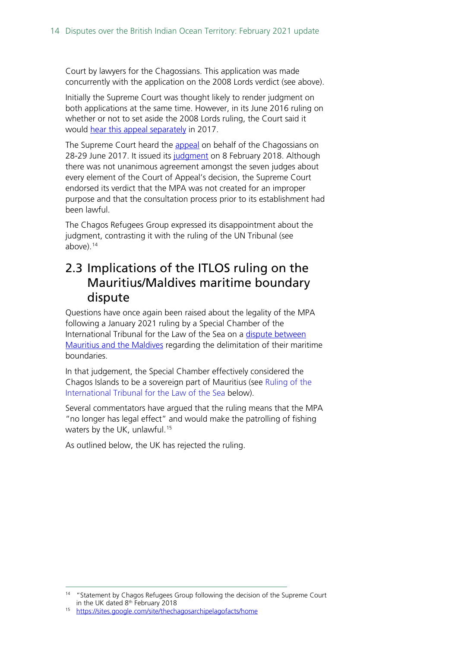Court by lawyers for the Chagossians. This application was made concurrently with the application on the 2008 Lords verdict (see above).

Initially the Supreme Court was thought likely to render judgment on both applications at the same time. However, in its June 2016 ruling on whether or not to set aside the 2008 Lords ruling, the Court said it would [hear this appeal separately](http://www.chagossupport.org.uk/#!Chagos-Islands-AllParty-Parliamentary-Group-meeting-Coordinators-Summary/c1y03/579142a40cf2a8522f93dea6) in 2017.

The Supreme Court heard the [appeal](https://www.supremecourt.uk/cases/uksc-2015-0022.html) on behalf of the Chagossians on 28-29 June 2017. It issued its [judgment](https://www.supremecourt.uk/cases/docs/uksc-2015-0022-judgment.pdf) on 8 February 2018. Although there was not unanimous agreement amongst the seven judges about every element of the Court of Appeal's decision, the Supreme Court endorsed its verdict that the MPA was not created for an improper purpose and that the consultation process prior to its establishment had been lawful.

The Chagos Refugees Group expressed its disappointment about the judgment, contrasting it with the ruling of the UN Tribunal (see above). $14$ 

### <span id="page-13-0"></span>2.3 Implications of the ITLOS ruling on the Mauritius/Maldives maritime boundary dispute

Questions have once again been raised about the legality of the MPA following a January 2021 ruling by a Special Chamber of the International Tribunal for the Law of the Sea on a [dispute between](https://www.itlos.org/cases/list-of-cases/case-no-28/)  [Mauritius and the Maldives](https://www.itlos.org/cases/list-of-cases/case-no-28/) regarding the delimitation of their maritime boundaries.

In that judgement, the Special Chamber effectively considered the Chagos Islands to be a sovereign part of Mauritius (see [Ruling of the](#page-23-0)  [International Tribunal for the Law of the Sea](#page-23-0) below).

Several commentators have argued that the ruling means that the MPA "no longer has legal effect" and would make the patrolling of fishing waters by the UK, unlawful.<sup>[15](#page-13-2)</sup>

As outlined below, the UK has rejected the ruling.

<span id="page-13-1"></span><sup>&</sup>lt;sup>14</sup> "Statement by Chagos Refugees Group following the decision of the Supreme Court in the UK dated 8th February 2018

<span id="page-13-2"></span><sup>15</sup> <https://sites.google.com/site/thechagosarchipelagofacts/home>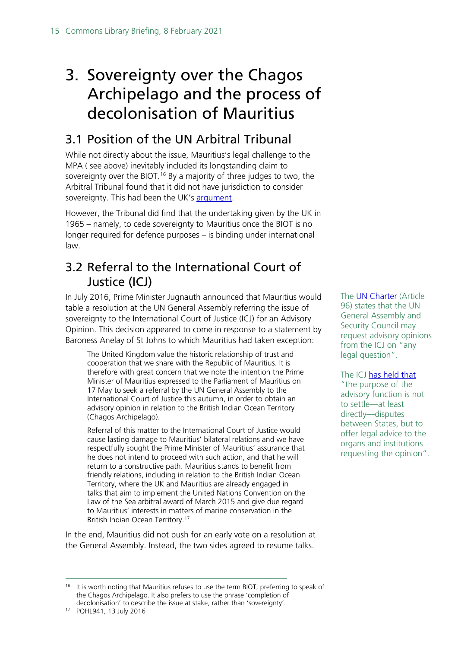# <span id="page-14-0"></span>3. Sovereignty over the Chagos Archipelago and the process of decolonisation of Mauritius

# <span id="page-14-1"></span>3.1 Position of the UN Arbitral Tribunal

While not directly about the issue, Mauritius's legal challenge to the MPA ( see above) inevitably included its longstanding claim to sovereignty over the BIOT.<sup>[16](#page-14-3)</sup> By a majority of three judges to two, the Arbitral Tribunal found that it did not have jurisdiction to consider sovereignty. This had been the UK's [argument.](http://www.parliament.uk/written-questions-answers-statements/written-question/commons/2015-06-15/2407)

However, the Tribunal did find that the undertaking given by the UK in 1965 – namely, to cede sovereignty to Mauritius once the BIOT is no longer required for defence purposes – is binding under international law.

## <span id="page-14-2"></span>3.2 Referral to the International Court of Justice (ICJ)

In July 2016, Prime Minister Jugnauth announced that Mauritius would table a resolution at the UN General Assembly referring the issue of sovereignty to the International Court of Justice (ICJ) for an Advisory Opinion. This decision appeared to come in response to a statement by Baroness Anelay of St Johns to which Mauritius had taken exception:

The United Kingdom value the historic relationship of trust and cooperation that we share with the Republic of Mauritius. It is therefore with great concern that we note the intention the Prime Minister of Mauritius expressed to the Parliament of Mauritius on 17 May to seek a referral by the UN General Assembly to the International Court of Justice this autumn, in order to obtain an advisory opinion in relation to the British Indian Ocean Territory (Chagos Archipelago).

Referral of this matter to the International Court of Justice would cause lasting damage to Mauritius' bilateral relations and we have respectfully sought the Prime Minister of Mauritius' assurance that he does not intend to proceed with such action, and that he will return to a constructive path. Mauritius stands to benefit from friendly relations, including in relation to the British Indian Ocean Territory, where the UK and Mauritius are already engaged in talks that aim to implement the United Nations Convention on the Law of the Sea arbitral award of March 2015 and give due regard to Mauritius' interests in matters of marine conservation in the British Indian Ocean Territory.[17](#page-14-4)

In the end, Mauritius did not push for an early vote on a resolution at the General Assembly. Instead, the two sides agreed to resume talks.

The [UN Charter \(](http://www.icj-cij.org/en/charter-of-the-united-nations#Chapter14)Article 96) states that the UN General Assembly and Security Council may request advisory opinions from the ICJ on "any legal question".

The ICJ [has held that](https://www.icj-cij.org/public/files/case-related/95/095-19960708-ADV-01-00-EN.pdf) "the purpose of the advisory function is not to settle—at least directly—disputes between States, but to offer legal advice to the organs and institutions requesting the opinion".

<span id="page-14-3"></span><sup>&</sup>lt;sup>16</sup> It is worth noting that Mauritius refuses to use the term BIOT, preferring to speak of the Chagos Archipelago. It also prefers to use the phrase 'completion of decolonisation' to describe the issue at stake, rather than 'sovereignty'.

<span id="page-14-4"></span><sup>17</sup> PQHL941, 13 July 2016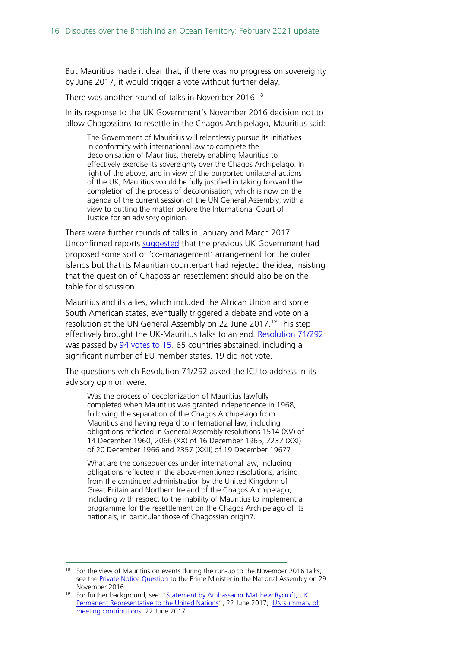But Mauritius made it clear that, if there was no progress on sovereignty by June 2017, it would trigger a vote without further delay.

There was another round of talks in November 2016.<sup>[18](#page-15-0)</sup>

In its response to the UK Government's November 2016 decision not to allow Chagossians to resettle in the Chagos Archipelago, Mauritius said:

The Government of Mauritius will relentlessly pursue its initiatives in conformity with international law to complete the decolonisation of Mauritius, thereby enabling Mauritius to effectively exercise its sovereignty over the Chagos Archipelago. In light of the above, and in view of the purported unilateral actions of the UK, Mauritius would be fully justified in taking forward the completion of the process of decolonisation, which is now on the agenda of the current session of the UN General Assembly, with a view to putting the matter before the International Court of Justice for an advisory opinion.

There were further rounds of talks in January and March 2017. Unconfirmed reports [suggested](https://www.lexpress.mu/article/304526/david-snoxell-ps40-million-promised-chagossians-may-turn-out-be-mirage) that the previous UK Government had proposed some sort of 'co-management' arrangement for the outer islands but that its Mauritian counterpart had rejected the idea, insisting that the question of Chagossian resettlement should also be on the table for discussion.

Mauritius and its allies, which included the African Union and some South American states, eventually triggered a debate and vote on a resolution at the UN General Assembly on 22 June 2017.<sup>[19](#page-15-1)</sup> This step effectively brought the UK-Mauritius talks to an end. [Resolution 71/292](http://www.un.org/en/ga/search/view_doc.asp?symbol=A/RES/71/292) was passed by [94 votes to 15.](https://digitallibrary.un.org/record/1290041?ln=en) 65 countries abstained, including a significant number of EU member states. 19 did not vote.

The questions which Resolution 71/292 asked the ICJ to address in its advisory opinion were:

Was the process of decolonization of Mauritius lawfully completed when Mauritius was granted independence in 1968, following the separation of the Chagos Archipelago from Mauritius and having regard to international law, including obligations reflected in General Assembly resolutions 1514 (XV) of 14 December 1960, 2066 (XX) of 16 December 1965, 2232 (XXI) of 20 December 1966 and 2357 (XXII) of 19 December 1967?

What are the consequences under international law, including obligations reflected in the above-mentioned resolutions, arising from the continued administration by the United Kingdom of Great Britain and Northern Ireland of the Chagos Archipelago, including with respect to the inability of Mauritius to implement a programme for the resettlement on the Chagos Archipelago of its nationals, in particular those of Chagossian origin?.

<span id="page-15-0"></span> $18$  For the view of Mauritius on events during the run-up to the November 2016 talks, see the **Private Notice Question** to the Prime Minister in the National Assembly on 29 November 2016. 19 November 2016.<br>19 For further background, see: "Statement by Ambassador Matthew Rycroft, UK

<span id="page-15-1"></span>[Permanent Representative to the United Nations"](https://www.gov.uk/government/speeches/questions-on-the-british-indian-ocean-territory-have-long-been-a-bilateral-matter-between-the-uk-and-mauritius), 22 June 2017; UN summary of [meeting contributions,](https://www.un.org/press/en/2017/ga11924.doc.htm) 22 June 2017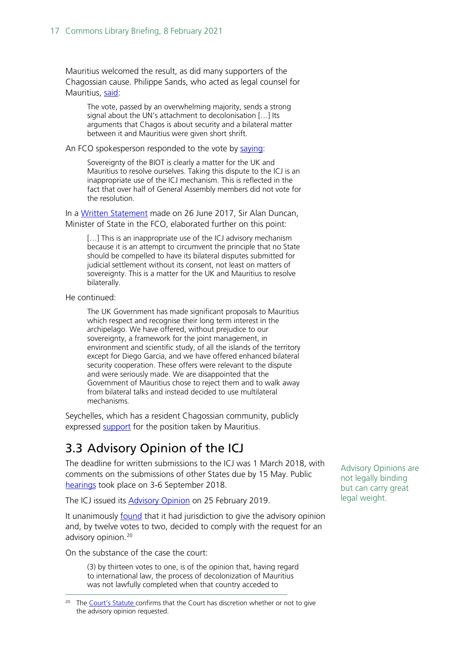Mauritius welcomed the result, as did many supporters of the Chagossian cause. Philippe Sands, who acted as legal counsel for Mauritius, [said:](https://www.theguardian.com/world/2017/jun/22/un-vote-backing-chagos-islands-a-blow-for-uk?CMP=twt_gu)

The vote, passed by an overwhelming majority, sends a strong signal about the UN's attachment to decolonisation […] Its arguments that Chagos is about security and a bilateral matter between it and Mauritius were given short shrift.

An FCO spokesperson responded to the vote by [saying:](https://www.theguardian.com/world/2017/jun/22/un-vote-backing-chagos-islands-a-blow-for-uk?CMP=twt_gu)

Sovereignty of the BIOT is clearly a matter for the UK and Mauritius to resolve ourselves. Taking this dispute to the ICJ is an inappropriate use of the ICJ mechanism. This is reflected in the fact that over half of General Assembly members did not vote for the resolution.

In a [Written Statement](http://www.parliament.uk/business/publications/written-questions-answers-statements/written-statement/Commons/2017-06-26/HCWS10/) made on 26 June 2017, Sir Alan Duncan, Minister of State in the FCO, elaborated further on this point:

[...] This is an inappropriate use of the ICJ advisory mechanism because it is an attempt to circumvent the principle that no State should be compelled to have its bilateral disputes submitted for judicial settlement without its consent, not least on matters of sovereignty. This is a matter for the UK and Mauritius to resolve bilaterally.

He continued:

The UK Government has made significant proposals to Mauritius which respect and recognise their long term interest in the archipelago. We have offered, without prejudice to our sovereignty, a framework for the joint management, in environment and scientific study, of all the islands of the territory except for Diego Garcia, and we have offered enhanced bilateral security cooperation. These offers were relevant to the dispute and were seriously made. We are disappointed that the Government of Mauritius chose to reject them and to walk away from bilateral talks and instead decided to use multilateral mechanisms.

Seychelles, which has a resident Chagossian community, publicly expressed [support](https://www.chagossupport.org.uk/single-post/2018/03/11/International-Court-of-Justice-Chagos-case-Seychelles-backs-challenge-to-UK-sovereignty-over-Chagos) for the position taken by Mauritius.

## <span id="page-16-0"></span>3.3 Advisory Opinion of the ICJ

The deadline for written submissions to the ICJ was 1 March 2018, with comments on the submissions of other States due by 15 May. Public [hearings](https://www.icj-cij.org/en/case/169) took place on 3-6 September 2018.

The ICJ issued its [Advisory Opinion](https://www.icj-cij.org/files/case-related/169/169-20190225-01-00-EN.pdf) on 25 February 2019.

It unanimously **[found](https://www.icj-cij.org/files/case-related/169/169-20190225-PRE-01-00-EN.pdf)** that it had jurisdiction to give the advisory opinion and, by twelve votes to two, decided to comply with the request for an advisory opinion.<sup>[20](#page-16-1)</sup>

On the substance of the case the court:

(3) by thirteen votes to one, is of the opinion that, having regard to international law, the process of decolonization of Mauritius was not lawfully completed when that country acceded to

<span id="page-16-1"></span><sup>20</sup> The [Court's Statute c](http://www.icj-cij.org/en/statute)onfirms that the Court has discretion whether or not to give the advisory opinion requested.

Advisory Opinions are not legally binding but can carry great legal weight.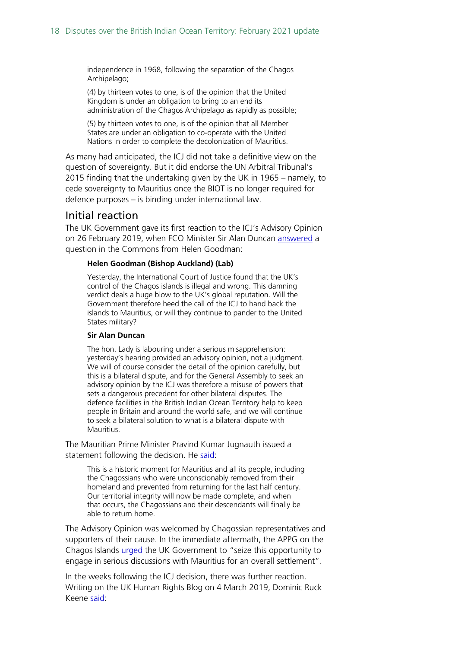independence in 1968, following the separation of the Chagos Archipelago;

(4) by thirteen votes to one, is of the opinion that the United Kingdom is under an obligation to bring to an end its administration of the Chagos Archipelago as rapidly as possible;

(5) by thirteen votes to one, is of the opinion that all Member States are under an obligation to co-operate with the United Nations in order to complete the decolonization of Mauritius.

As many had anticipated, the ICJ did not take a definitive view on the question of sovereignty. But it did endorse the UN Arbitral Tribunal's 2015 finding that the undertaking given by the UK in 1965 – namely, to cede sovereignty to Mauritius once the BIOT is no longer required for defence purposes – is binding under international law.

#### <span id="page-17-0"></span>Initial reaction

The UK Government gave its first reaction to the ICJ's Advisory Opinion on 26 February 2019, when FCO Minister Sir Alan Duncan [answered](https://hansard.parliament.uk/Commons/2019-02-26/debates/8EEE599C-C9BE-417B-A0CF-25C3D7E9343B/TransatlanticAlliance#contribution-B81491D9-BD46-40B1-A0B0-636D17CB2CC3) a question in the Commons from Helen Goodman:

#### **Helen Goodman (Bishop Auckland) (Lab)**

Yesterday, the International Court of Justice found that the UK's control of the Chagos islands is illegal and wrong. This damning verdict deals a huge blow to the UK's global reputation. Will the Government therefore heed the call of the ICJ to hand back the islands to Mauritius, or will they continue to pander to the United States military?

#### **Sir Alan Duncan**

The hon. Lady is labouring under a serious misapprehension: yesterday's hearing provided an advisory opinion, not a judgment. We will of course consider the detail of the opinion carefully, but this is a bilateral dispute, and for the General Assembly to seek an advisory opinion by the ICJ was therefore a misuse of powers that sets a dangerous precedent for other bilateral disputes. The defence facilities in the British Indian Ocean Territory help to keep people in Britain and around the world safe, and we will continue to seek a bilateral solution to what is a bilateral dispute with Mauritius.

The Mauritian Prime Minister Pravind Kumar Jugnauth issued a statement following the decision. He [said:](https://www.chagossupport.org.uk/single-post/2019/02/26/International-Court-of-Justice-tells-UK-to-end-administration-of-Chagos-Islands)

This is a historic moment for Mauritius and all its people, including the Chagossians who were unconscionably removed from their homeland and prevented from returning for the last half century. Our territorial integrity will now be made complete, and when that occurs, the Chagossians and their descendants will finally be able to return home.

The Advisory Opinion was welcomed by Chagossian representatives and supporters of their cause. In the immediate aftermath, the APPG on the Chagos Islands [urged](https://www.chagossupport.org.uk/single-post/2019/02/26/International-Court-of-Justice-tells-UK-to-end-administration-of-Chagos-Islands) the UK Government to "seize this opportunity to engage in serious discussions with Mauritius for an overall settlement".

In the weeks following the ICJ decision, there was further reaction. Writing on the UK Human Rights Blog on 4 March 2019, Dominic Ruck Keene [said:](https://ukhumanrightsblog.com/2019/03/04/now-a-win-for-the-chagossians/)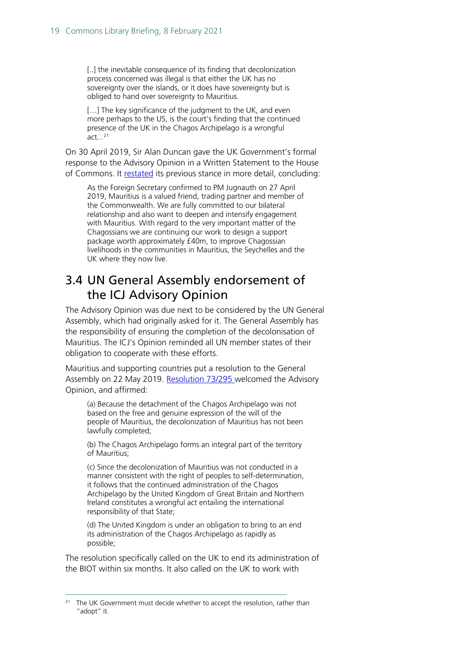[..] the inevitable consequence of its finding that decolonization process concerned was illegal is that either the UK has no sovereignty over the islands, or it does have sovereignty but is obliged to hand over sovereignty to Mauritius.

[...] The key significance of the judgment to the UK, and even more perhaps to the US, is the court's finding that the continued presence of the UK in the Chagos Archipelago is a wrongful act... [21](#page-18-1)

On 30 April 2019, Sir Alan Duncan gave the UK Government's formal response to the Advisory Opinion in a Written Statement to the House of Commons. It [restated](https://www.parliament.uk/business/publications/written-questions-answers-statements/written-statement/Commons/2019-04-30/HCWS1528/) its previous stance in more detail, concluding:

As the Foreign Secretary confirmed to PM Jugnauth on 27 April 2019, Mauritius is a valued friend, trading partner and member of the Commonwealth. We are fully committed to our bilateral relationship and also want to deepen and intensify engagement with Mauritius. With regard to the very important matter of the Chagossians we are continuing our work to design a support package worth approximately £40m, to improve Chagossian livelihoods in the communities in Mauritius, the Seychelles and the UK where they now live.

### <span id="page-18-0"></span>3.4 UN General Assembly endorsement of the ICJ Advisory Opinion

The Advisory Opinion was due next to be considered by the UN General Assembly, which had originally asked for it. The General Assembly has the responsibility of ensuring the completion of the decolonisation of Mauritius. The ICJ's Opinion reminded all UN member states of their obligation to cooperate with these efforts.

Mauritius and supporting countries put a resolution to the General Assembly on 22 May 2019. [Resolution](https://undocs.org/en/A/RES/73/295) 73/295 welcomed the Advisory Opinion, and affirmed:

(a) Because the detachment of the Chagos Archipelago was not based on the free and genuine expression of the will of the people of Mauritius, the decolonization of Mauritius has not been lawfully completed;

(b) The Chagos Archipelago forms an integral part of the territory of Mauritius;

(c) Since the decolonization of Mauritius was not conducted in a manner consistent with the right of peoples to self-determination, it follows that the continued administration of the Chagos Archipelago by the United Kingdom of Great Britain and Northern Ireland constitutes a wrongful act entailing the international responsibility of that State;

(d) The United Kingdom is under an obligation to bring to an end its administration of the Chagos Archipelago as rapidly as possible;

The resolution specifically called on the UK to end its administration of the BIOT within six months. It also called on the UK to work with

<span id="page-18-1"></span><sup>&</sup>lt;sup>21</sup> The UK Government must decide whether to accept the resolution, rather than "adopt" it.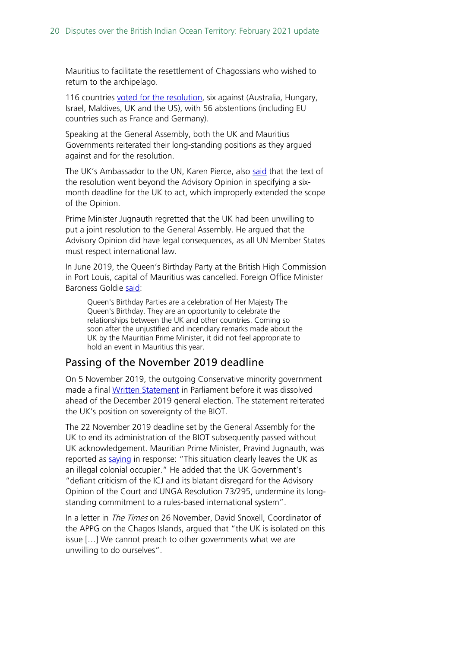Mauritius to facilitate the resettlement of Chagossians who wished to return to the archipelago.

116 countries [voted for the resolution,](https://digitallibrary.un.org/record/3807805?ln=en) six against (Australia, Hungary, Israel, Maldives, UK and the US), with 56 abstentions (including EU countries such as France and Germany).

Speaking at the General Assembly, both the UK and Mauritius Governments reiterated their long-standing positions as they argued against and for the resolution.

The UK's Ambassador to the UN, Karen Pierce, also [said](https://www.gov.uk/government/speeches/resolution-on-the-british-indian-ocean-territories) that the text of the resolution went beyond the Advisory Opinion in specifying a sixmonth deadline for the UK to act, which improperly extended the scope of the Opinion.

Prime Minister Jugnauth regretted that the UK had been unwilling to put a joint resolution to the General Assembly. He argued that the Advisory Opinion did have legal consequences, as all UN Member States must respect international law.

In June 2019, the Queen's Birthday Party at the British High Commission in Port Louis, capital of Mauritius was cancelled. Foreign Office Minister Baroness Goldie [said:](https://www.parliament.uk/written-questions-answers-statements/written-question/lords/2019-06-17/HL16410)

Queen's Birthday Parties are a celebration of Her Majesty The Queen's Birthday. They are an opportunity to celebrate the relationships between the UK and other countries. Coming so soon after the unjustified and incendiary remarks made about the UK by the Mauritian Prime Minister, it did not feel appropriate to hold an event in Mauritius this year.

### Passing of the November 2019 deadline

On 5 November 2019, the outgoing Conservative minority government made a final [Written Statement](https://hansard.parliament.uk/Commons/2019-11-05/debates/191105112000020/BritishIndianOceanTerritory) in Parliament before it was dissolved ahead of the December 2019 general election. The statement reiterated the UK's position on sovereignty of the BIOT.

The 22 November 2019 deadline set by the General Assembly for the UK to end its administration of the BIOT subsequently passed without UK acknowledgement. Mauritian Prime Minister, Pravind Jugnauth, was reported as [saying](https://africatimes.com/2019/11/22/mauritius-condemns-uk-position-on-chagos/) in response: "This situation clearly leaves the UK as an illegal colonial occupier." He added that the UK Government's "defiant criticism of the ICJ and its blatant disregard for the Advisory Opinion of the Court and UNGA Resolution 73/295, undermine its longstanding commitment to a rules-based international system".

In a letter in *The Times* on 26 November, David Snoxell, Coordinator of the APPG on the Chagos Islands, argued that "the UK is isolated on this issue […] We cannot preach to other governments what we are unwilling to do ourselves".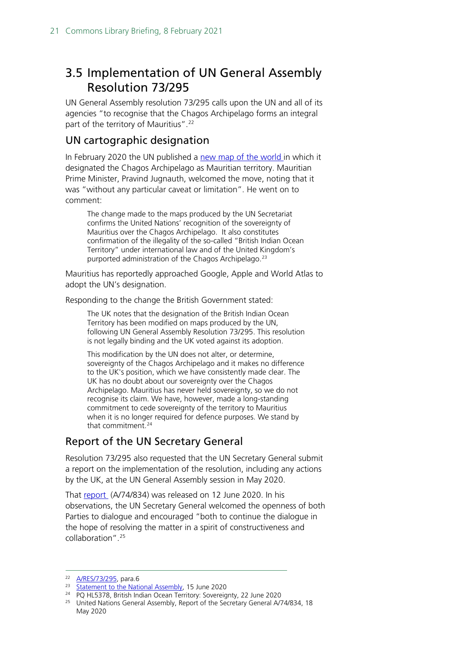## <span id="page-20-0"></span>3.5 Implementation of UN General Assembly Resolution 73/295

UN General Assembly resolution 73/295 calls upon the UN and all of its agencies "to recognise that the Chagos Archipelago forms an integral part of the territory of Mauritius".<sup>[22](#page-20-1)</sup>

### UN cartographic designation

In February 2020 the UN published a [new map of the world i](https://www.un.org/geospatial/content/map-world)n which it designated the Chagos Archipelago as Mauritian territory. Mauritian Prime Minister, Pravind Jugnauth, welcomed the move, noting that it was "without any particular caveat or limitation". He went on to comment:

The change made to the maps produced by the UN Secretariat confirms the United Nations' recognition of the sovereignty of Mauritius over the Chagos Archipelago. It also constitutes confirmation of the illegality of the so-called "British Indian Ocean Territory" under international law and of the United Kingdom's purported administration of the Chagos Archipelago.[23](#page-20-2)

Mauritius has reportedly approached Google, Apple and World Atlas to adopt the UN's designation.

Responding to the change the British Government stated:

The UK notes that the designation of the British Indian Ocean Territory has been modified on maps produced by the UN, following UN General Assembly Resolution 73/295. This resolution is not legally binding and the UK voted against its adoption.

This modification by the UN does not alter, or determine, sovereignty of the Chagos Archipelago and it makes no difference to the UK's position, which we have consistently made clear. The UK has no doubt about our sovereignty over the Chagos Archipelago. Mauritius has never held sovereignty, so we do not recognise its claim. We have, however, made a long-standing commitment to cede sovereignty of the territory to Mauritius when it is no longer required for defence purposes. We stand by that commitment.[24](#page-20-3)

### Report of the UN Secretary General

Resolution 73/295 also requested that the UN Secretary General submit a report on the implementation of the resolution, including any actions by the UK, at the UN General Assembly session in May 2020.

That [report](https://digitallibrary.un.org/record/3865093?ln=en) (A/74/834) was released on 12 June 2020. In his observations, the UN Secretary General welcomed the openness of both Parties to dialogue and encouraged "both to continue the dialogue in the hope of resolving the matter in a spirit of constructiveness and collaboration".[25](#page-20-4)

<span id="page-20-1"></span><sup>&</sup>lt;sup>22</sup> <u>A/RES/73/295</u>, para.6<br><sup>23</sup> Statement to the National Assembly, 15 June 2020

<span id="page-20-4"></span><span id="page-20-3"></span><span id="page-20-2"></span><sup>&</sup>lt;sup>24</sup> PQ HL5378, British Indian Ocean Territory: Sovereignty, 22 June 2020<br><sup>25</sup> United Nations General Assembly, Report of the Secretary General A/74/834, 18 May 2020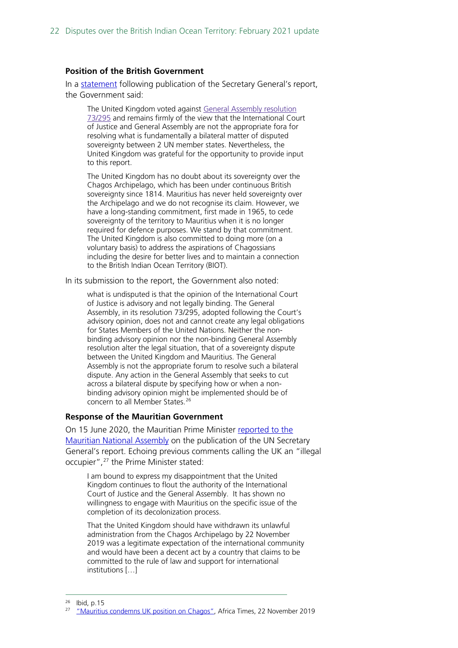#### **Position of the British Government**

In a [statement](https://www.gov.uk/government/news/united-nations-secretary-generals-report-on-the-implementation-of-resolution-73295-uk-statement) following publication of the Secretary General's report, the Government said:

The United Kingdom voted against General Assembly [resolution](https://undocs.org/en/A/RES/73/295) [73/295](https://undocs.org/en/A/RES/73/295) and remains firmly of the view that the International Court of Justice and General Assembly are not the appropriate fora for resolving what is fundamentally a bilateral matter of disputed sovereignty between 2 UN member states. Nevertheless, the United Kingdom was grateful for the opportunity to provide input to this report.

The United Kingdom has no doubt about its sovereignty over the Chagos Archipelago, which has been under continuous British sovereignty since 1814. Mauritius has never held sovereignty over the Archipelago and we do not recognise its claim. However, we have a long-standing commitment, first made in 1965, to cede sovereignty of the territory to Mauritius when it is no longer required for defence purposes. We stand by that commitment. The United Kingdom is also committed to doing more (on a voluntary basis) to address the aspirations of Chagossians including the desire for better lives and to maintain a connection to the British Indian Ocean Territory (BIOT).

In its submission to the report, the Government also noted:

what is undisputed is that the opinion of the International Court of Justice is advisory and not legally binding. The General Assembly, in its resolution 73/295, adopted following the Court's advisory opinion, does not and cannot create any legal obligations for States Members of the United Nations. Neither the nonbinding advisory opinion nor the non-binding General Assembly resolution alter the legal situation, that of a sovereignty dispute between the United Kingdom and Mauritius. The General Assembly is not the appropriate forum to resolve such a bilateral dispute. Any action in the General Assembly that seeks to cut across a bilateral dispute by specifying how or when a nonbinding advisory opinion might be implemented should be of concern to all Member States.<sup>[26](#page-21-0)</sup>

#### **Response of the Mauritian Government**

On 15 June 2020, the Mauritian Prime Minister [reported to the](https://ensam.app/general_news/statement-by-hon-pravind-kumar-jugnauth-prime-minister/)  [Mauritian National Assembly](https://ensam.app/general_news/statement-by-hon-pravind-kumar-jugnauth-prime-minister/) on the publication of the UN Secretary General's report. Echoing previous comments calling the UK an "illegal occupier",[27](#page-21-1) the Prime Minister stated:

I am bound to express my disappointment that the United Kingdom continues to flout the authority of the International Court of Justice and the General Assembly. It has shown no willingness to engage with Mauritius on the specific issue of the completion of its decolonization process.

That the United Kingdom should have withdrawn its unlawful administration from the Chagos Archipelago by 22 November 2019 was a legitimate expectation of the international community and would have been a decent act by a country that claims to be committed to the rule of law and support for international institutions […]

<span id="page-21-0"></span> $^{26}$  Ibid, p. 15

<span id="page-21-1"></span><sup>27</sup> ["Mauritius condemns UK position on Chagos",](https://africatimes.com/2019/11/22/mauritius-condemns-uk-position-on-chagos/) Africa Times, 22 November 2019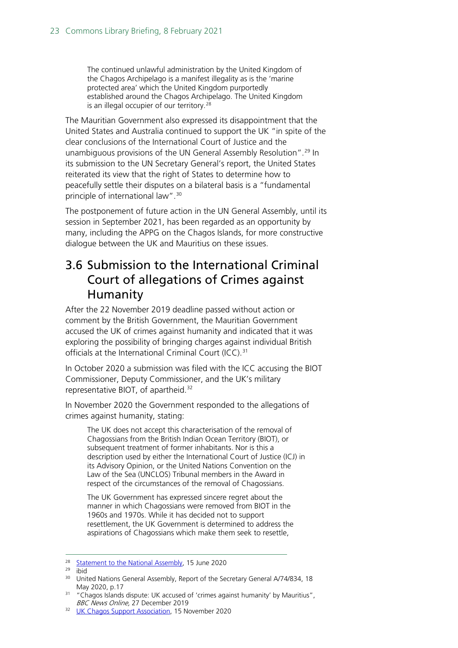The continued unlawful administration by the United Kingdom of the Chagos Archipelago is a manifest illegality as is the 'marine protected area' which the United Kingdom purportedly established around the Chagos Archipelago. The United Kingdom is an illegal occupier of our territory.<sup>[28](#page-22-1)</sup>

The Mauritian Government also expressed its disappointment that the United States and Australia continued to support the UK "in spite of the clear conclusions of the International Court of Justice and the unambiguous provisions of the UN General Assembly Resolution".[29](#page-22-2) In its submission to the UN Secretary General's report, the United States reiterated its view that the right of States to determine how to peacefully settle their disputes on a bilateral basis is a "fundamental principle of international law".<sup>[30](#page-22-3)</sup>

The postponement of future action in the UN General Assembly, until its session in September 2021, has been regarded as an opportunity by many, including the APPG on the Chagos Islands, for more constructive dialogue between the UK and Mauritius on these issues.

### <span id="page-22-0"></span>3.6 Submission to the International Criminal Court of allegations of Crimes against Humanity

After the 22 November 2019 deadline passed without action or comment by the British Government, the Mauritian Government accused the UK of crimes against humanity and indicated that it was exploring the possibility of bringing charges against individual British officials at the International Criminal Court (ICC).<sup>[31](#page-22-4)</sup>

In October 2020 a submission was filed with the ICC accusing the BIOT Commissioner, Deputy Commissioner, and the UK's military representative BIOT, of apartheid.[32](#page-22-5)

In November 2020 the Government responded to the allegations of crimes against humanity, stating:

The UK does not accept this characterisation of the removal of Chagossians from the British Indian Ocean Territory (BIOT), or subsequent treatment of former inhabitants. Nor is this a description used by either the International Court of Justice (ICJ) in its Advisory Opinion, or the United Nations Convention on the Law of the Sea (UNCLOS) Tribunal members in the Award in respect of the circumstances of the removal of Chagossians.

The UK Government has expressed sincere regret about the manner in which Chagossians were removed from BIOT in the 1960s and 1970s. While it has decided not to support resettlement, the UK Government is determined to address the aspirations of Chagossians which make them seek to resettle,

<span id="page-22-2"></span><span id="page-22-1"></span><sup>28</sup> [Statement to the National Assembly,](https://ensam.app/general_news/statement-by-hon-pravind-kumar-jugnauth-prime-minister/) 15 June 2020 29 ibid

<span id="page-22-3"></span><sup>&</sup>lt;sup>30</sup> United Nations General Assembly, Report of the Secretary General A/74/834, 18 May 2020, p.17

<span id="page-22-4"></span><sup>&</sup>lt;sup>31</sup> "Chagos Islands dispute: UK accused of 'crimes against humanity' by Mauritius", *BBC News Online*. 27 December 2019

<span id="page-22-5"></span><sup>&</sup>lt;sup>32</sup> [UK Chagos Support Association,](https://www.chagossupport.org.uk/post/uk-chagos-islands-officials-accused-of-apartheid) 15 November 2020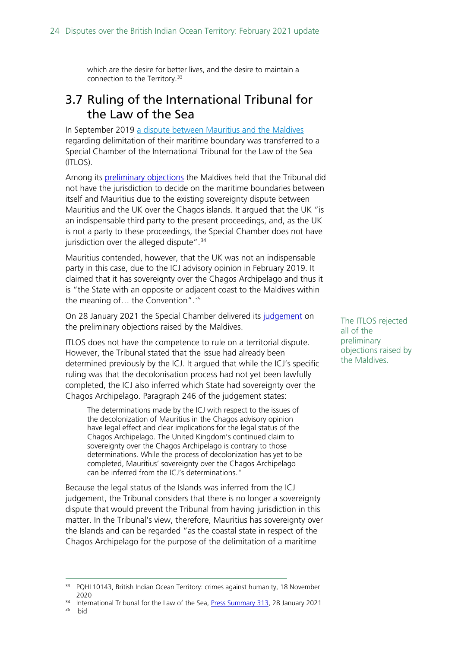which are the desire for better lives, and the desire to maintain a connection to the Territory.<sup>[33](#page-23-1)</sup>

### <span id="page-23-0"></span>3.7 Ruling of the International Tribunal for the Law of the Sea

In September 2019 a [dispute between Mauritius and the Maldives](https://www.itlos.org/cases/list-of-cases/case-no-28/)  regarding delimitation of their maritime boundary was transferred to a Special Chamber of the International Tribunal for the Law of the Sea (ITLOS).

Among its [preliminary objections](https://www.itlos.org/fileadmin/itlos/documents/cases/case_no_28/Preliminary_Objections_of_the_Republic_of_Maldives._18_December_2019_Part_I.pdf) the Maldives held that the Tribunal did not have the jurisdiction to decide on the maritime boundaries between itself and Mauritius due to the existing sovereignty dispute between Mauritius and the UK over the Chagos islands. It argued that the UK "is an indispensable third party to the present proceedings, and, as the UK is not a party to these proceedings, the Special Chamber does not have jurisdiction over the alleged dispute".<sup>[34](#page-23-2)</sup>

Mauritius contended, however, that the UK was not an indispensable party in this case, due to the ICJ advisory opinion in February 2019. It claimed that it has sovereignty over the Chagos Archipelago and thus it is "the State with an opposite or adjacent coast to the Maldives within the meaning of… the Convention".[35](#page-23-3)

On 28 January 2021 the Special Chamber delivered its [judgement](https://www.itlos.org/fileadmin/itlos/documents/cases/case_no_28/C28_Judgment_prelimobj_28.01.2021_orig.pdf) on the preliminary objections raised by the Maldives.

ITLOS does not have the competence to rule on a territorial dispute. However, the Tribunal stated that the issue had already been determined previously by the ICJ. It argued that while the ICJ's specific ruling was that the decolonisation process had not yet been lawfully completed, the ICJ also inferred which State had sovereignty over the Chagos Archipelago. Paragraph 246 of the judgement states:

The determinations made by the ICJ with respect to the issues of the decolonization of Mauritius in the Chagos advisory opinion have legal effect and clear implications for the legal status of the Chagos Archipelago. The United Kingdom's continued claim to sovereignty over the Chagos Archipelago is contrary to those determinations. While the process of decolonization has yet to be completed, Mauritius' sovereignty over the Chagos Archipelago can be inferred from the ICJ's determinations."

Because the legal status of the Islands was inferred from the ICJ judgement, the Tribunal considers that there is no longer a sovereignty dispute that would prevent the Tribunal from having jurisdiction in this matter. In the Tribunal's view, therefore, Mauritius has sovereignty over the Islands and can be regarded "as the coastal state in respect of the Chagos Archipelago for the purpose of the delimitation of a maritime

<span id="page-23-3"></span><span id="page-23-2"></span>

The ITLOS rejected all of the preliminary objections raised by the Maldives.

<span id="page-23-1"></span><sup>&</sup>lt;sup>33</sup> PQHL10143, British Indian Ocean Territory: crimes against humanity, 18 November

<sup>2020&</sup>lt;br><sup>34</sup> International Tribunal for the Law of the Sea, **Press Summary 313**, 28 January 2021<br><sup>35</sup> ibid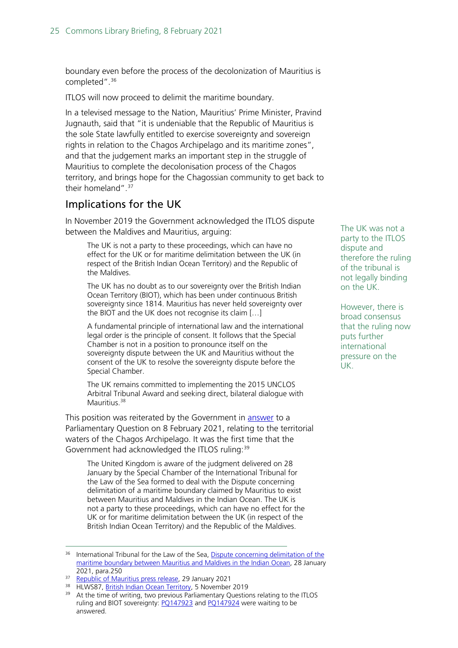boundary even before the process of the decolonization of Mauritius is completed".<sup>[36](#page-24-0)</sup>

ITLOS will now proceed to delimit the maritime boundary.

In a televised message to the Nation, Mauritius' Prime Minister, Pravind Jugnauth, said that "it is undeniable that the Republic of Mauritius is the sole State lawfully entitled to exercise sovereignty and sovereign rights in relation to the Chagos Archipelago and its maritime zones", and that the judgement marks an important step in the struggle of Mauritius to complete the decolonisation process of the Chagos territory, and brings hope for the Chagossian community to get back to their homeland".<sup>[37](#page-24-1)</sup>

### Implications for the UK

In November 2019 the Government acknowledged the ITLOS dispute between the Maldives and Mauritius, arguing:

The UK is not a party to these proceedings, which can have no effect for the UK or for maritime delimitation between the UK (in respect of the British Indian Ocean Territory) and the Republic of the Maldives.

The UK has no doubt as to our sovereignty over the British Indian Ocean Territory (BIOT), which has been under continuous British sovereignty since 1814. Mauritius has never held sovereignty over the BIOT and the UK does not recognise its claim […]

A fundamental principle of international law and the international legal order is the principle of consent. It follows that the Special Chamber is not in a position to pronounce itself on the sovereignty dispute between the UK and Mauritius without the consent of the UK to resolve the sovereignty dispute before the Special Chamber.

The UK remains committed to implementing the 2015 UNCLOS Arbitral Tribunal Award and seeking direct, bilateral dialogue with Mauritius<sup>[38](#page-24-2)</sup>

This position was reiterated by the Government in [answer](https://questions-statements.parliament.uk/written-questions/detail/2021-02-03/148829) to a Parliamentary Question on 8 February 2021, relating to the territorial waters of the Chagos Archipelago. It was the first time that the Government had acknowledged the ITLOS ruling:<sup>[39](#page-24-3)</sup>

The United Kingdom is aware of the judgment delivered on 28 January by the Special Chamber of the International Tribunal for the Law of the Sea formed to deal with the Dispute concerning delimitation of a maritime boundary claimed by Mauritius to exist between Mauritius and Maldives in the Indian Ocean. The UK is not a party to these proceedings, which can have no effect for the UK or for maritime delimitation between the UK (in respect of the British Indian Ocean Territory) and the Republic of the Maldives.

<span id="page-24-2"></span><span id="page-24-1"></span>38 HLWS87, [British Indian Ocean Territory,](https://questions-statements.parliament.uk/written-statements/detail/2019-11-05/HLWS87) 5 November 2019

The UK was not a party to the ITLOS dispute and therefore the ruling of the tribunal is not legally binding on the UK.

However, there is broad consensus that the ruling now puts further international pressure on the UK.

<span id="page-24-0"></span><sup>&</sup>lt;sup>36</sup> International Tribunal for the Law of the Sea, Dispute concerning delimitation of the [maritime boundary between Mauritius and Maldives in the Indian Ocean,](https://www.itlos.org/fileadmin/itlos/documents/cases/case_no_28/Preliminary_Objections_of_the_Republic_of_Maldives._18_December_2019_Part_I.pdf) 28 January

<sup>2021,</sup> para.250<br><sup>37</sup> Republic of Mauritius press release, 29 January 2021

<span id="page-24-3"></span><sup>&</sup>lt;sup>39</sup> At the time of writing, two previous Parliamentary Questions relating to the ITLOS ruling and BIOT sovereignty: PO147923 and PO147924 were waiting to be answered.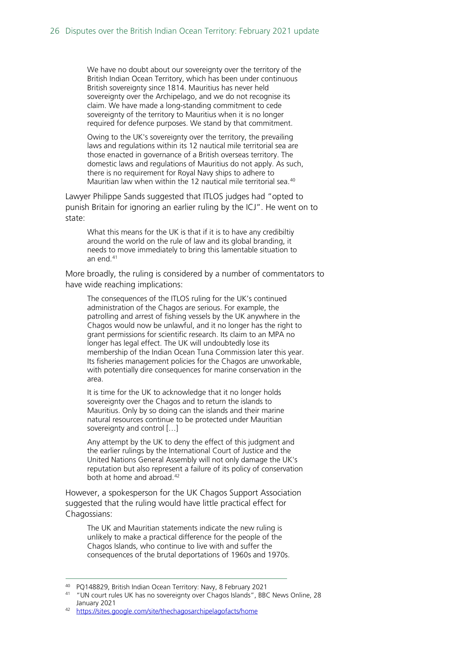We have no doubt about our sovereignty over the territory of the British Indian Ocean Territory, which has been under continuous British sovereignty since 1814. Mauritius has never held sovereignty over the Archipelago, and we do not recognise its claim. We have made a long-standing commitment to cede sovereignty of the territory to Mauritius when it is no longer required for defence purposes. We stand by that commitment.

Owing to the UK's sovereignty over the territory, the prevailing laws and regulations within its 12 nautical mile territorial sea are those enacted in governance of a British overseas territory. The domestic laws and regulations of Mauritius do not apply. As such, there is no requirement for Royal Navy ships to adhere to Mauritian law when within the 12 nautical mile territorial sea.[40](#page-25-0)

Lawyer Philippe Sands suggested that ITLOS judges had "opted to punish Britain for ignoring an earlier ruling by the ICJ". He went on to state:

What this means for the UK is that if it is to have any credibiltiy around the world on the rule of law and its global branding, it needs to move immediately to bring this lamentable situation to an end.[41](#page-25-1)

More broadly, the ruling is considered by a number of commentators to have wide reaching implications:

The consequences of the ITLOS ruling for the UK's continued administration of the Chagos are serious. For example, the patrolling and arrest of fishing vessels by the UK anywhere in the Chagos would now be unlawful, and it no longer has the right to grant permissions for scientific research. Its claim to an MPA no longer has legal effect. The UK will undoubtedly lose its membership of the Indian Ocean Tuna Commission later this year. Its fisheries management policies for the Chagos are unworkable, with potentially dire consequences for marine conservation in the area.

It is time for the UK to acknowledge that it no longer holds sovereignty over the Chagos and to return the islands to Mauritius. Only by so doing can the islands and their marine natural resources continue to be protected under Mauritian sovereignty and control […]

Any attempt by the UK to deny the effect of this judgment and the earlier rulings by the International Court of Justice and the United Nations General Assembly will not only damage the UK's reputation but also represent a failure of its policy of conservation both at home and abroad.[42](#page-25-2)

However, a spokesperson for the UK Chagos Support Association suggested that the ruling would have little practical effect for Chagossians:

The UK and Mauritian statements indicate the new ruling is unlikely to make a practical difference for the people of the Chagos Islands, who continue to live with and suffer the consequences of the brutal deportations of 1960s and 1970s.

<span id="page-25-1"></span><span id="page-25-0"></span><sup>&</sup>lt;sup>40</sup> PQ148829, British Indian Ocean Territory: Navy, 8 February 2021<br><sup>41</sup> "UN court rules UK has no sovereignty over Chagos Islands", BBC News Online, 28 January 2021

<span id="page-25-2"></span><sup>42</sup> <https://sites.google.com/site/thechagosarchipelagofacts/home>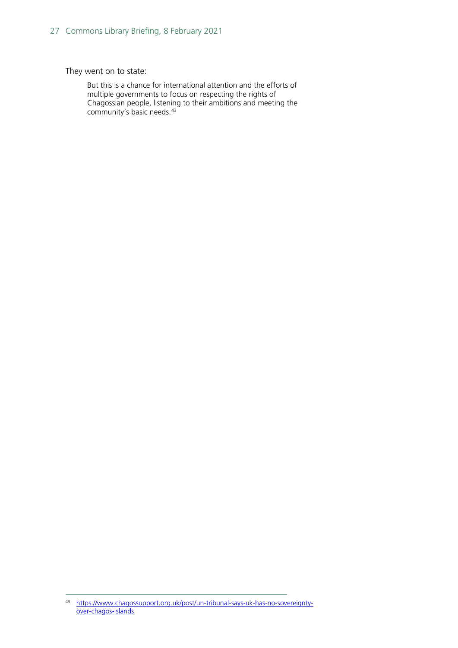They went on to state:

But this is a chance for international attention and the efforts of multiple governments to focus on respecting the rights of Chagossian people, listening to their ambitions and meeting the community's basic needs.<sup>[43](#page-26-0)</sup>

<span id="page-26-0"></span><sup>43</sup> [https://www.chagossupport.org.uk/post/un-tribunal-says-uk-has-no-sovereignty](https://www.chagossupport.org.uk/post/un-tribunal-says-uk-has-no-sovereignty-over-chagos-islands)[over-chagos-islands](https://www.chagossupport.org.uk/post/un-tribunal-says-uk-has-no-sovereignty-over-chagos-islands)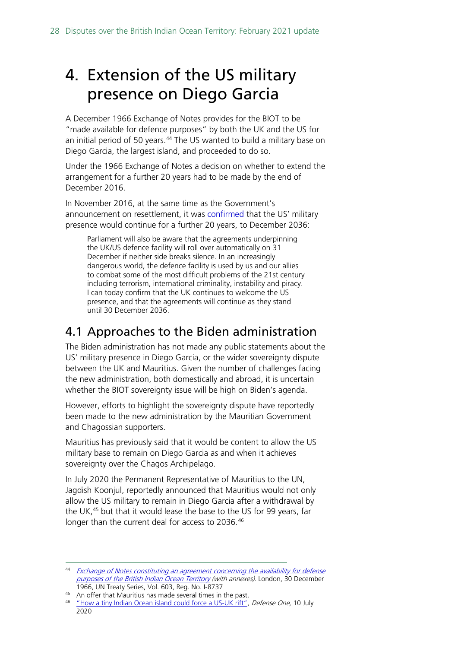# <span id="page-27-0"></span>4. Extension of the US military presence on Diego Garcia

A December 1966 Exchange of Notes provides for the BIOT to be "made available for defence purposes" by both the UK and the US for an initial period of 50 years.<sup>[44](#page-27-2)</sup> The US wanted to build a military base on Diego Garcia, the largest island, and proceeded to do so.

Under the 1966 Exchange of Notes a decision on whether to extend the arrangement for a further 20 years had to be made by the end of December 2016.

In November 2016, at the same time as the Government's announcement on resettlement, it was [confirmed](http://www.parliament.uk/business/publications/written-questions-answers-statements/written-statement/Lords/2016-11-16/HLWS257/) that the US' military presence would continue for a further 20 years, to December 2036:

Parliament will also be aware that the agreements underpinning the UK/US defence facility will roll over automatically on 31 December if neither side breaks silence. In an increasingly dangerous world, the defence facility is used by us and our allies to combat some of the most difficult problems of the 21st century including terrorism, international criminality, instability and piracy. I can today confirm that the UK continues to welcome the US presence, and that the agreements will continue as they stand until 30 December 2036.

### <span id="page-27-1"></span>4.1 Approaches to the Biden administration

The Biden administration has not made any public statements about the US' military presence in Diego Garcia, or the wider sovereignty dispute between the UK and Mauritius. Given the number of challenges facing the new administration, both domestically and abroad, it is uncertain whether the BIOT sovereignty issue will be high on Biden's agenda.

However, efforts to highlight the sovereignty dispute have reportedly been made to the new administration by the Mauritian Government and Chagossian supporters.

Mauritius has previously said that it would be content to allow the US military base to remain on Diego Garcia as and when it achieves sovereignty over the Chagos Archipelago.

In July 2020 the Permanent Representative of Mauritius to the UN, Jagdish Koonjul, reportedly announced that Mauritius would not only allow the US military to remain in Diego Garcia after a withdrawal by the UK,<sup>[45](#page-27-3)</sup> but that it would lease the base to the US for 99 years, far longer than the current deal for access to 2036.<sup>[46](#page-27-4)</sup>

<span id="page-27-2"></span><sup>44</sup> Exchange of Notes constituting an agreement concerning the availability for defense [purposes of the British Indian Ocean Territory](http://treaties.un.org/doc/Publication/UNTS/Volume%20603/volume-603-I-8737-English.pdf) (with annexes). London, 30 December 1966, UN Treaty Series, Vol. 603, Reg. No. I-8737

<span id="page-27-3"></span><sup>&</sup>lt;sup>45</sup> An offer that Mauritius has made several times in the past.

<span id="page-27-4"></span><sup>&</sup>lt;sup>46</sup> "How a tiny [Indian Ocean island could force a US-UK rift",](https://www.defenseone.com/ideas/2020/07/how-tiny-indian-ocean-island-could-force-us-uk-rift/166776/) Defense One, 10 July 2020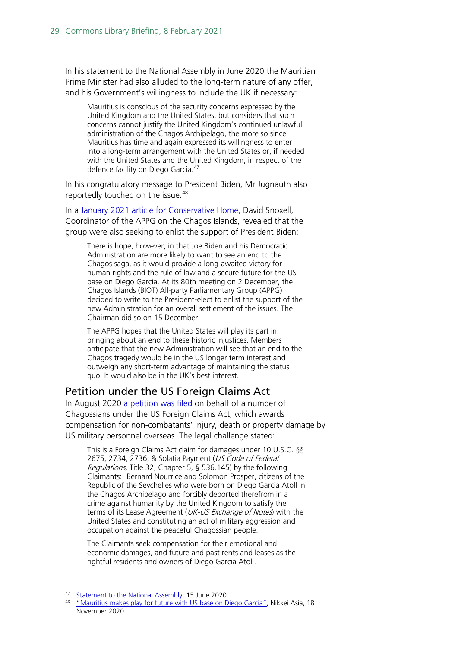In his statement to the National Assembly in June 2020 the Mauritian Prime Minister had also alluded to the long-term nature of any offer, and his Government's willingness to include the UK if necessary:

Mauritius is conscious of the security concerns expressed by the United Kingdom and the United States, but considers that such concerns cannot justify the United Kingdom's continued unlawful administration of the Chagos Archipelago, the more so since Mauritius has time and again expressed its willingness to enter into a long-term arrangement with the United States or, if needed with the United States and the United Kingdom, in respect of the defence facility on Diego Garcia.<sup>[47](#page-28-1)</sup>

In his congratulatory message to President Biden, Mr Jugnauth also reportedly touched on the issue.<sup>[48](#page-28-2)</sup>

In a [January 2021 article for Conservative Home,](https://www.conservativehome.com/platform/2021/01/david-snoxell-a-simple-solution-for-resolving-the-chagos-dispute-is-to-give-mauritius-responsibility.html) David Snoxell, Coordinator of the APPG on the Chagos Islands, revealed that the group were also seeking to enlist the support of President Biden:

There is hope, however, in that Joe Biden and his Democratic Administration are more likely to want to see an end to the Chagos saga, as it would provide a long-awaited victory for human rights and the rule of law and a secure future for the US base on Diego Garcia. At its 80th meeting on 2 December, the Chagos Islands (BIOT) All-party Parliamentary Group (APPG) decided to write to the President-elect to enlist the support of the new Administration for an overall settlement of the issues. The Chairman did so on 15 December.

The APPG hopes that the United States will play its part in bringing about an end to these historic injustices. Members anticipate that the new Administration will see that an end to the Chagos tragedy would be in the US longer term interest and outweigh any short-term advantage of maintaining the status quo. It would also be in the UK's best interest.

### <span id="page-28-0"></span>Petition under the US Foreign Claims Act

In August 2020 [a petition was filed](http://www.jlevy.co/wp-content/uploads/2020/08/Foreign-Claims-Act-Sent-8-14-20-FPO-AP-96595.pdf) on behalf of a number of Chagossians under the US Foreign Claims Act, which awards compensation for non-combatants' injury, death or property damage by US military personnel overseas. The legal challenge stated:

This is a Foreign Claims Act claim for damages under 10 U.S.C. §§ 2675, 2734, 2736, & Solatia Payment (US Code of Federal Regulations, Title 32, Chapter 5, § 536.145) by the following Claimants: Bernard Nourrice and Solomon Prosper, citizens of the Republic of the Seychelles who were born on Diego Garcia Atoll in the Chagos Archipelago and forcibly deported therefrom in a crime against humanity by the United Kingdom to satisfy the terms of its Lease Agreement (*UK-US Exchange of Notes*) with the United States and constituting an act of military aggression and occupation against the peaceful Chagossian people.

The Claimants seek compensation for their emotional and economic damages, and future and past rents and leases as the rightful residents and owners of Diego Garcia Atoll.

<span id="page-28-2"></span><span id="page-28-1"></span>

<sup>&</sup>lt;sup>47</sup> [Statement to the National Assembly,](https://ensam.app/general_news/statement-by-hon-pravind-kumar-jugnauth-prime-minister/) 15 June 2020<br><sup>48</sup> ["Mauritius makes play for future with US base on Diego Garcia",](https://asia.nikkei.com/Editor-s-Picks/Interview/Mauritius-makes-play-for-future-with-US-base-on-Diego-Garcia) Nikkei Asia, 18 November 2020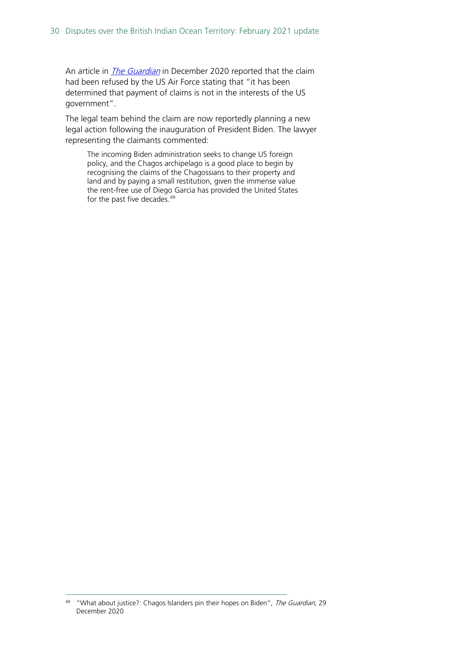An article in *[The Guardian](https://www.theguardian.com/global-development/2020/dec/29/what-about-justice-chagos-islanders-pin-their-hopes-on-biden)* in December 2020 reported that the claim had been refused by the US Air Force stating that "it has been determined that payment of claims is not in the interests of the US government".

The legal team behind the claim are now reportedly planning a new legal action following the inauguration of President Biden. The lawyer representing the claimants commented:

The incoming Biden administration seeks to change US foreign policy, and the Chagos archipelago is a good place to begin by recognising the claims of the Chagossians to their property and land and by paying a small restitution, given the immense value the rent-free use of Diego Garcia has provided the United States for the past five decades.<sup>49</sup>

<span id="page-29-0"></span><sup>&</sup>lt;sup>49</sup> "What about justice?: Chagos Islanders pin their hopes on Biden", *The Guardian*, 29 December 2020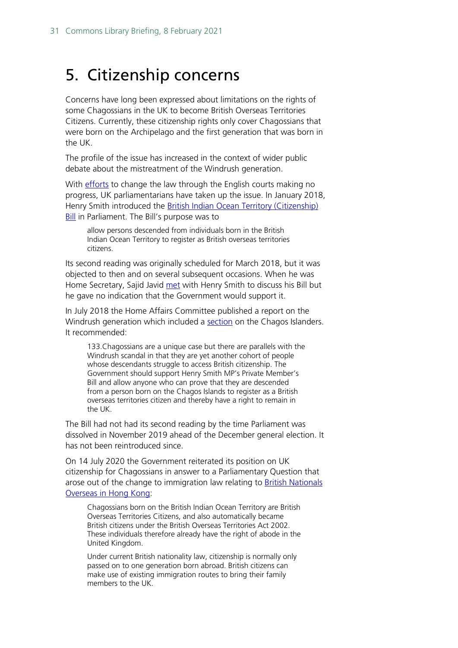# <span id="page-30-0"></span>5. Citizenship concerns

Concerns have long been expressed about limitations on the rights of some Chagossians in the UK to become British Overseas Territories Citizens. Currently, these citizenship rights only cover Chagossians that were born on the Archipelago and the first generation that was born in the UK.

The profile of the issue has increased in the context of wider public debate about the mistreatment of the Windrush generation.

With [efforts](https://www.chagossupport.org.uk/single-post/2018/07/31/Royal-Court-of-Justice-rejects-Chagossian-claim-to-citizenship) to change the law through the English courts making no progress, UK parliamentarians have taken up the issue. In January 2018, Henry Smith introduced the British Indian Ocean Territory (Citizenship) [Bill](https://services.parliament.uk/Bills/2017-19/britishindianoceanterritorycitizenship.html) in Parliament. The Bill's purpose was to

allow persons descended from individuals born in the British Indian Ocean Territory to register as British overseas territories citizens.

Its second reading was originally scheduled for March 2018, but it was objected to then and on several subsequent occasions. When he was Home Secretary, Sajid Javid [met](https://www.chagossupport.org.uk/single-post/2018/07/03/Home-Affairs-Committee-urge-Ministers-to-reform-citizenship-law-for-Chagos-Islanders) with Henry Smith to discuss his Bill but he gave no indication that the Government would support it.

In July 2018 the Home Affairs Committee published a report on the Windrush generation which included a **section** on the Chagos Islanders. It recommended:

133.Chagossians are a unique case but there are parallels with the Windrush scandal in that they are yet another cohort of people whose descendants struggle to access British citizenship. The Government should support Henry Smith MP's Private Member's Bill and allow anyone who can prove that they are descended from a person born on the Chagos Islands to register as a British overseas territories citizen and thereby have a right to remain in the UK.

The Bill had not had its second reading by the time Parliament was dissolved in November 2019 ahead of the December general election. It has not been reintroduced since.

On 14 July 2020 the Government reiterated its position on UK citizenship for Chagossians in answer to a Parliamentary Question that arose out of the change to immigration law relating to [British Nationals](https://www.gov.uk/government/news/uk-to-extend-residence-rights-for-british-nationals-overseas-citizens-in-hong-kong)  [Overseas in Hong Kong:](https://www.gov.uk/government/news/uk-to-extend-residence-rights-for-british-nationals-overseas-citizens-in-hong-kong)

Chagossians born on the British Indian Ocean Territory are British Overseas Territories Citizens, and also automatically became British citizens under the British Overseas Territories Act 2002. These individuals therefore already have the right of abode in the United Kingdom.

Under current British nationality law, citizenship is normally only passed on to one generation born abroad. British citizens can make use of existing immigration routes to bring their family members to the UK.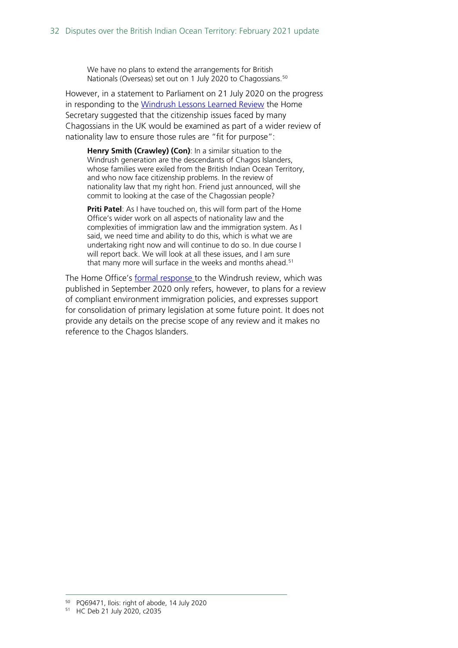We have no plans to extend the arrangements for British Nationals (Overseas) set out on 1 July 2020 to Chagossians.<sup>[50](#page-31-0)</sup>

However, in a statement to Parliament on 21 July 2020 on the progress in responding to the [Windrush Lessons Learned Review](https://assets.publishing.service.gov.uk/government/uploads/system/uploads/attachment_data/file/876336/6.5577_HO_Windrush_Lessons_Learned_Review_LoResFinal.pdf) the Home Secretary suggested that the citizenship issues faced by many Chagossians in the UK would be examined as part of a wider review of nationality law to ensure those rules are "fit for purpose":

**Henry Smith (Crawley) (Con)**: In a similar situation to the Windrush generation are the descendants of Chagos Islanders, whose families were exiled from the British Indian Ocean Territory, and who now face citizenship problems. In the review of nationality law that my right hon. Friend just announced, will she commit to looking at the case of the Chagossian people?

**Priti Patel:** As I have touched on, this will form part of the Home Office's wider work on all aspects of nationality law and the complexities of immigration law and the immigration system. As I said, we need time and ability to do this, which is what we are undertaking right now and will continue to do so. In due course I will report back. We will look at all these issues, and I am sure that many more will surface in the weeks and months ahead.<sup>[51](#page-31-1)</sup>

The Home Office's [formal response t](https://assets.publishing.service.gov.uk/government/uploads/system/uploads/attachment_data/file/922973/CCS001_CCS0820050750-001_Resp_to_Windrush_Lessons_CP_293_Accessible.pdf)o the Windrush review, which was published in September 2020 only refers, however, to plans for a review of compliant environment immigration policies, and expresses support for consolidation of primary legislation at some future point. It does not provide any details on the precise scope of any review and it makes no reference to the Chagos Islanders.

<span id="page-31-0"></span> $50$  PQ69471, Ilois: right of abode, 14 July 2020<br> $51$  HC Deb 21 July 2020, c2035

<span id="page-31-1"></span>